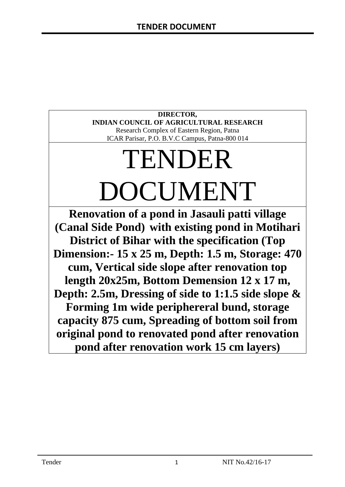# **DIRECTOR, INDIAN COUNCIL OF AGRICULTURAL RESEARCH**

Research Complex of Eastern Region, Patna ICAR Parisar, P.O. B.V.C Campus, Patna-800 014

# TENDER DOCUMENT

**Renovation of a pond in Jasauli patti village (Canal Side Pond) with existing pond in Motihari District of Bihar with the specification (Top Dimension:- 15 x 25 m, Depth: 1.5 m, Storage: 470 cum, Vertical side slope after renovation top length 20x25m, Bottom Demension 12 x 17 m, Depth: 2.5m, Dressing of side to 1:1.5 side slope & Forming 1m wide periphereral bund, storage capacity 875 cum, Spreading of bottom soil from original pond to renovated pond after renovation pond after renovation work 15 cm layers)**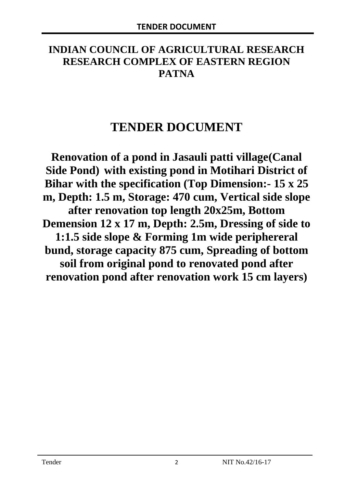# **INDIAN COUNCIL OF AGRICULTURAL RESEARCH RESEARCH COMPLEX OF EASTERN REGION PATNA**

# **TENDER DOCUMENT**

**Renovation of a pond in Jasauli patti village(Canal Side Pond) with existing pond in Motihari District of Bihar with the specification (Top Dimension:- 15 x 25 m, Depth: 1.5 m, Storage: 470 cum, Vertical side slope after renovation top length 20x25m, Bottom Demension 12 x 17 m, Depth: 2.5m, Dressing of side to 1:1.5 side slope & Forming 1m wide periphereral bund, storage capacity 875 cum, Spreading of bottom soil from original pond to renovated pond after renovation pond after renovation work 15 cm layers)**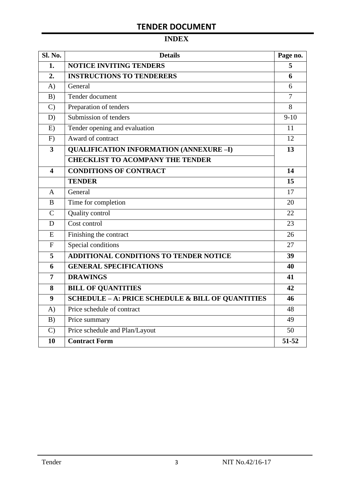# **INDEX**

| Sl. No.                 | <b>Details</b>                                               | Page no.       |
|-------------------------|--------------------------------------------------------------|----------------|
| 1.                      | <b>NOTICE INVITING TENDERS</b>                               | 5              |
| 2.                      | <b>INSTRUCTIONS TO TENDERERS</b>                             | 6              |
| A)                      | General                                                      | 6              |
| B)                      | Tender document                                              | $\overline{7}$ |
| $\mathcal{C}$           | Preparation of tenders                                       | 8              |
| D)                      | Submission of tenders                                        | $9-10$         |
| E)                      | Tender opening and evaluation                                | 11             |
| F)                      | Award of contract                                            | 12             |
| $\overline{\mathbf{3}}$ | <b>QUALIFICATION INFORMATION (ANNEXURE-I)</b>                | 13             |
|                         | <b>CHECKLIST TO ACOMPANY THE TENDER</b>                      |                |
| 4                       | <b>CONDITIONS OF CONTRACT</b>                                | 14             |
|                         | <b>TENDER</b>                                                | 15             |
| $\overline{A}$          | General                                                      | 17             |
| B                       | Time for completion                                          | 20             |
| $\overline{C}$          | Quality control                                              | 22             |
| D                       | Cost control                                                 | 23             |
| E                       | Finishing the contract                                       | 26             |
| $\mathbf{F}$            | Special conditions                                           | 27             |
| 5                       | <b>ADDITIONAL CONDITIONS TO TENDER NOTICE</b>                | 39             |
| 6                       | <b>GENERAL SPECIFICATIONS</b>                                | 40             |
| $\overline{7}$          | <b>DRAWINGS</b>                                              | 41             |
| 8                       | <b>BILL OF QUANTITIES</b>                                    | 42             |
| 9                       | <b>SCHEDULE - A: PRICE SCHEDULE &amp; BILL OF QUANTITIES</b> | 46             |
| A)                      | Price schedule of contract                                   | 48             |
| B)                      | Price summary                                                | 49             |
| $\mathcal{C}$           | Price schedule and Plan/Layout                               | 50             |
| 10                      | <b>Contract Form</b>                                         | 51-52          |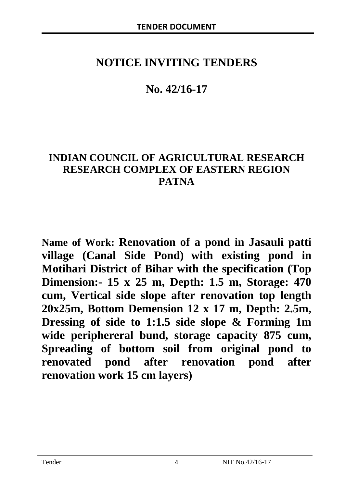# **NOTICE INVITING TENDERS**

# **No. 42/16-17**

# **INDIAN COUNCIL OF AGRICULTURAL RESEARCH RESEARCH COMPLEX OF EASTERN REGION PATNA**

**Name of Work: Renovation of a pond in Jasauli patti village (Canal Side Pond) with existing pond in Motihari District of Bihar with the specification (Top Dimension:- 15 x 25 m, Depth: 1.5 m, Storage: 470 cum, Vertical side slope after renovation top length 20x25m, Bottom Demension 12 x 17 m, Depth: 2.5m, Dressing of side to 1:1.5 side slope & Forming 1m wide periphereral bund, storage capacity 875 cum, Spreading of bottom soil from original pond to renovated pond after renovation pond after renovation work 15 cm layers)**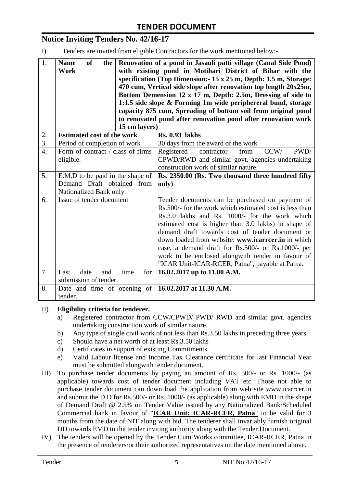# **Notice Inviting Tenders No. 42/16-17**

I) Tenders are invited from eligible Contractors for the work mentioned below:-

| 1.               | of<br><b>Name</b><br>the<br><b>Work</b>                                                   | 15 cm layers) | Renovation of a pond in Jasauli patti village (Canal Side Pond)<br>with existing pond in Motihari District of Bihar with the<br>specification (Top Dimension: 15 x 25 m, Depth: 1.5 m, Storage:<br>470 cum, Vertical side slope after renovation top length 20x25m,<br>Bottom Demension 12 x 17 m, Depth: 2.5m, Dressing of side to<br>1:1.5 side slope & Forming 1m wide periphereral bund, storage<br>capacity 875 cum, Spreading of bottom soil from original pond<br>to renovated pond after renovation pond after renovation work |
|------------------|-------------------------------------------------------------------------------------------|---------------|----------------------------------------------------------------------------------------------------------------------------------------------------------------------------------------------------------------------------------------------------------------------------------------------------------------------------------------------------------------------------------------------------------------------------------------------------------------------------------------------------------------------------------------|
| 2.               | <b>Estimated cost of the work</b>                                                         |               | <b>Rs. 0.93 lakhs</b>                                                                                                                                                                                                                                                                                                                                                                                                                                                                                                                  |
| $\overline{3}$ . | Period of completion of work                                                              |               | 30 days from the award of the work                                                                                                                                                                                                                                                                                                                                                                                                                                                                                                     |
| $\overline{4}$ . | Form of contract / class of firms<br>eligible.                                            |               | CCW/<br>PWD/<br>Registered<br>contractor<br>from<br>CPWD/RWD and similar govt. agencies undertaking<br>construction work of similar nature.                                                                                                                                                                                                                                                                                                                                                                                            |
| 5.               | E.M.D to be paid in the shape of<br>Demand Draft obtained from<br>Nationalized Bank only. |               | Rs. 2350.00 (Rs. Two thousand three hundred fifty<br>only)                                                                                                                                                                                                                                                                                                                                                                                                                                                                             |
| 6.               | Issue of tender document                                                                  |               | Tender documents can be purchased on payment of<br>Rs.500/- for the work which estimated cost is less than<br>Rs.3.0 lakhs and Rs. 1000/- for the work which<br>estimated cost is higher than 3.0 lakhs) in shape of<br>demand draft towards cost of tender document or<br>down loaded from website: www.icarrcer.in in which<br>case, a demand draft for Rs.500/- or Rs.1000/- per<br>work to be enclosed alongwith tender in favour of<br>"ICAR Unit-ICAR-RCER, Patna", payable at Patna.                                            |
| 7.               | date<br>Last<br>and                                                                       | time<br>for   | 16.02.2017 up to 11.00 A.M.                                                                                                                                                                                                                                                                                                                                                                                                                                                                                                            |
|                  | submission of tender.                                                                     |               |                                                                                                                                                                                                                                                                                                                                                                                                                                                                                                                                        |
| 8.               | Date and time of opening of<br>tender.                                                    |               | 16.02.2017 at 11.30 A.M.                                                                                                                                                                                                                                                                                                                                                                                                                                                                                                               |

#### II) **Eligibility criteria for tenderer.**

- a) Registered contractor from CCW/CPWD/ PWD/ RWD and similar govt. agencies undertaking construction work of similar nature.
- b) Any type of single civil work of not less than Rs.3.50 lakhs in preceding three years.
- c) Should have a net worth of at least Rs.3.50 lakhs
- d) Certificates in support of existing Commitments.
- e) Valid Labour license and Income Tax Clearance certificate for last Financial Year must be submitted alongwith tender document.
- III) To purchase tender documents by paying an amount of Rs. 500/- or Rs. 1000/- (as applicable) towards cost of tender document including VAT etc. Those not able to purchase tender document can down load the application from web site www.icarrcer.in and submit the D.D for Rs.500/- or Rs. 1000/- (as applicable) along with EMD in the shape of Demand Draft @ 2.5% on Tender Value issued by any Nationalized Bank/Scheduled Commercial bank in favour of "**ICAR Unit: ICAR-RCER, Patna**" to be valid for 3 months from the date of NIT along with bid. The tenderer shall invariably furnish original DD towards EMD to the tender inviting authority along with the Tender Document.
- IV) The tenders will be opened by the Tender Cum Works committee, ICAR-RCER, Patna in the presence of tenderers/or their authorized representatives on the date mentioned above.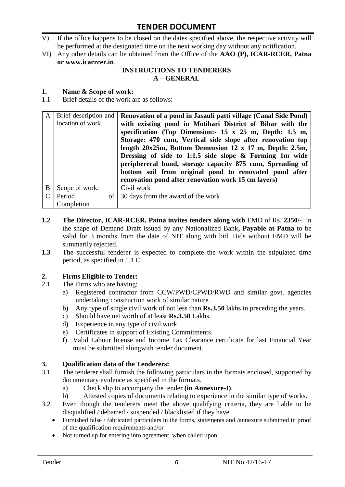- V) If the office happens to be closed on the dates specified above, the respective activity will be performed at the designated time on the next working day without any notification.
- VI) Any other details can be obtained from the Office of the **AAO (P), ICAR-RCER, Patna or www.icarrcer.in**.

#### **INSTRUCTIONS TO TENDERERS A – GENERAL**

#### **1. Name & Scope of work:**

1.1 Brief details of the work are as follows:

| A | Brief description and | Renovation of a pond in Jasauli patti village (Canal Side Pond) |
|---|-----------------------|-----------------------------------------------------------------|
|   | location of work      | with existing pond in Motihari District of Bihar with the       |
|   |                       | specification (Top Dimension: $15 \times 25$ m, Depth: 1.5 m,   |
|   |                       | Storage: 470 cum, Vertical side slope after renovation top      |
|   |                       | length $20x25m$ , Bottom Demension 12 x 17 m, Depth: 2.5m,      |
|   |                       | Dressing of side to 1:1.5 side slope & Forming 1m wide          |
|   |                       | periphereral bund, storage capacity 875 cum, Spreading of       |
|   |                       | bottom soil from original pond to renovated pond after          |
|   |                       | renovation pond after renovation work 15 cm layers)             |
| B | Scope of work:        | Civil work                                                      |
|   | Period                | of 30 days from the award of the work                           |
|   | Completion            |                                                                 |

- **1.2** The Director, ICAR-RCER, Patna invites tenders along with EMD of Rs. 2350/- in the shape of Demand Draft issued by any Nationalized Bank**, Payable at Patna** to be valid for 3 months from the date of NIT along with bid. Bids without EMD will be summarily rejected.
- **1.3** The successful tenderer is expected to complete the work within the stipulated time period, as specified in 1.1 C.

#### **2. Firms Eligible to Tender:**

- 2.1 The Firms who are having;
	- a) Registered contractor from CCW/PWD/CPWD/RWD and similar govt. agencies undertaking construction work of similar nature.
	- b) Any type of single civil work of not less than **Rs.3.50** lakhs in preceding the years.
	- c) Should have net worth of at least **Rs.3.50** Lakhs.
	- d) Experience in any type of civil work.
	- e) Certificates in support of Existing Commitments.
	- f) Valid Labour license and Income Tax Clearance certificate for last Financial Year must be submitted alongwith tender document.

#### **3. Qualification data of the Tenderers:**

- 3.1 The tenderer shall furnish the following particulars in the formats enclosed, supported by documentary evidence as specified in the formats.
	- a) Check slip to accompany the tender **(in Annexure-I)**.
	- b) Attested copies of documents relating to experience in the similar type of works.
- 3.2 Even though the tenderers meet the above qualifying criteria, they are liable to be disqualified / debarred / suspended / blacklisted if they have
	- Furnished false / fabricated particulars in the forms, statements and /annexure submitted in proof of the qualification requirements and/or
	- Not turned up for entering into agreement, when called upon.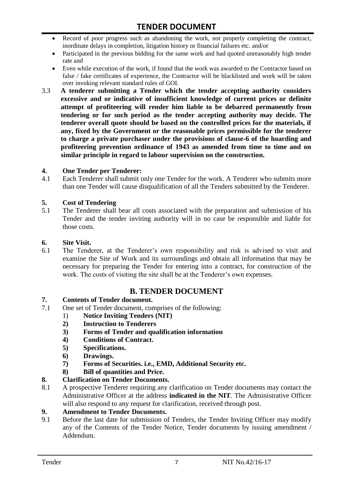- Record of poor progress such as abandoning the work, not properly completing the contract, inordinate delays in completion, litigation history or financial failures etc. and/or
- Participated in the previous bidding for the same work and had quoted unreasonably high tender rate and
- Even while execution of the work, if found that the work was awarded to the Contractor based on false / fake certificates of experience, the Contractor will be blacklisted and work will be taken over invoking relevant standard rules of GOI.
- 3.3 **A tenderer submitting a Tender which the tender accepting authority considers excessive and or indicative of insufficient knowledge of current prices or definite attempt of profiteering will render him liable to be debarred permanently from tendering or for such period as the tender accepting authority may decide. The tenderer overall quote should be based on the controlled prices for the materials, if any, fixed by the Government or the reasonable prices permissible for the tenderer to charge a private purchaser under the provisions of clause-6 of the hoarding and profiteering prevention ordinance of 1943 as amended from time to time and on similar principle in regard to labour supervision on the construction.**

#### **4. One Tender per Tenderer:**

4.1 Each Tenderer shall submit only one Tender for the work. A Tenderer who submits more than one Tender will cause disqualification of all the Tenders submitted by the Tenderer.

#### **5. Cost of Tendering**

5.1 The Tenderer shall bear all costs associated with the preparation and submission of his Tender and the tender inviting authority will in no case be responsible and liable for those costs.

#### **6. Site Visit.**

6.1 The Tenderer, at the Tenderer"s own responsibility and risk is advised to visit and examine the Site of Work and its surroundings and obtain all information that may be necessary for preparing the Tender for entering into a contract, for construction of the work. The costs of visiting the site shall be at the Tenderer's own expenses.

## **B. TENDER DOCUMENT**

#### **7. Contents of Tender document.**

- 7.1 One set of Tender document, comprises of the following:
	- 1) **Notice Inviting Tenders (NIT)**
	- **2) Instruction to Tenderers**
	- **3) Forms of Tender and qualification information**
	- **4) Conditions of Contract.**
	- **5) Specifications.**
	- **6) Drawings.**
	- **7) Forms of Securities. i.e., EMD, Additional Security etc.**
	- **8) Bill of quantities and Price.**

#### **8. Clarification on Tender Documents.**

8.1 A prospective Tenderer requiring any clarification on Tender documents may contact the Administrative Officer at the address **indicated in the NIT**. The Administrative Officer will also respond to any request for clarification, received through post.

#### **9. Amendment to Tender Documents.**

9.1 Before the last date for submission of Tenders, the Tender Inviting Officer may modify any of the Contents of the Tender Notice, Tender documents by issuing amendment / Addendum.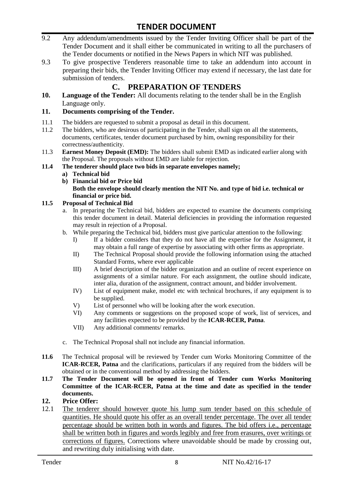- 9.2 Any addendum/amendments issued by the Tender Inviting Officer shall be part of the Tender Document and it shall either be communicated in writing to all the purchasers of the Tender documents or notified in the News Papers in which NIT was published.
- 9.3 To give prospective Tenderers reasonable time to take an addendum into account in preparing their bids, the Tender Inviting Officer may extend if necessary, the last date for submission of tenders.

# **C. PREPARATION OF TENDERS**

**10. Language of the Tender:** All documents relating to the tender shall be in the English Language only.

#### **11. Documents comprising of the Tender.**

- 11.1 The bidders are requested to submit a proposal as detail in this document.<br>11.2 The bidders, who are desirous of participating in the Tender, shall sign on
- The bidders, who are desirous of participating in the Tender, shall sign on all the statements, documents, certificates, tender document purchased by him, owning responsibility for their correctness/authenticity.
- 11.3 **Earnest Money Deposit (EMD):** The bidders shall submit EMD as indicated earlier along with the Proposal. The proposals without EMD are liable for rejection.

#### **11.4 The tenderer should place two bids in separate envelopes namely;**

- **a) Technical bid**
- **b) Financial bid or Price bid Both the envelope should clearly mention the NIT No. and type of bid i.e. technical or financial or price bid.**

#### **11.5 Proposal of Technical Bid**

- a. In preparing the Technical bid, bidders are expected to examine the documents comprising this tender document in detail. Material deficiencies in providing the information requested may result in rejection of a Proposal.
- b. While preparing the Technical bid, bidders must give particular attention to the following:
	- I) If a bidder considers that they do not have all the expertise for the Assignment, it may obtain a full range of expertise by associating with other firms as appropriate.
	- II) The Technical Proposal should provide the following information using the attached Standard Forms, where ever applicable
	- III) A brief description of the bidder organization and an outline of recent experience on assignments of a similar nature. For each assignment, the outline should indicate, inter alia, duration of the assignment, contract amount, and bidder involvement.
	- IV) List of equipment make, model etc with technical brochures, if any equipment is to be supplied.
	- V) List of personnel who will be looking after the work execution.
	- VI) Any comments or suggestions on the proposed scope of work, list of services, and any facilities expected to be provided by the **ICAR-RCER, Patna**.
	- VII) Any additional comments/ remarks.
- c. The Technical Proposal shall not include any financial information.
- **11.6** The Technical proposal will be reviewed by Tender cum Works Monitoring Committee of the **ICAR-RCER, Patna** and the clarifications, particulars if any required from the bidders will be obtained or in the conventional method by addressing the bidders.
- **11.7 The Tender Document will be opened in front of Tender cum Works Monitoring Committee of the ICAR-RCER, Patna at the time and date as specified in the tender documents.**

#### **12. Price Offer:**

12.1 The tenderer should however quote his lump sum tender based on this schedule of quantities. He should quote his offer as an overall tender percentage. The over all tender percentage should be written both in words and figures. The bid offers i.e., percentage shall be written both in figures and words legibly and free from erasures, over writings or corrections of figures. Corrections where unavoidable should be made by crossing out, and rewriting duly initialising with date.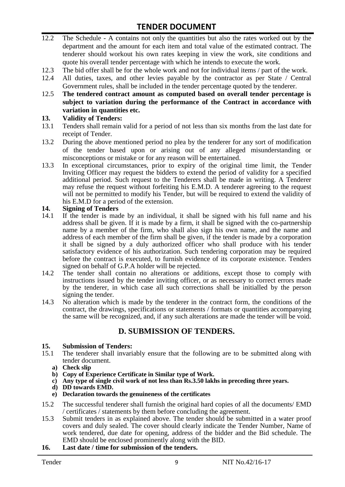- 12.2 The Schedule A contains not only the quantities but also the rates worked out by the department and the amount for each item and total value of the estimated contract. The tenderer should workout his own rates keeping in view the work, site conditions and quote his overall tender percentage with which he intends to execute the work.
- 12.3 The bid offer shall be for the whole work and not for individual items / part of the work.
- 12.4 All duties, taxes, and other levies payable by the contractor as per State / Central Government rules, shall be included in the tender percentage quoted by the tenderer.
- 12.5 **The tendered contract amount as computed based on overall tender percentage is subject to variation during the performance of the Contract in accordance with variation in quantities etc.**

#### **13. Validity of Tenders:**

- 13.1 Tenders shall remain valid for a period of not less than six months from the last date for receipt of Tender.
- 13.2 During the above mentioned period no plea by the tenderer for any sort of modification of the tender based upon or arising out of any alleged misunderstanding or misconceptions or mistake or for any reason will be entertained.
- 13.3 In exceptional circumstances, prior to expiry of the original time limit, the Tender Inviting Officer may request the bidders to extend the period of validity for a specified additional period. Such request to the Tenderers shall be made in writing. A Tenderer may refuse the request without forfeiting his E.M.D. A tenderer agreeing to the request will not be permitted to modify his Tender, but will be required to extend the validity of his E.M.D for a period of the extension.

#### **14. Signing of Tenders**

- 14.1 If the tender is made by an individual, it shall be signed with his full name and his address shall be given. If it is made by a firm, it shall be signed with the co-partnership name by a member of the firm, who shall also sign his own name, and the name and address of each member of the firm shall be given, if the tender is made by a corporation it shall be signed by a duly authorized officer who shall produce with his tender satisfactory evidence of his authorization. Such tendering corporation may be required before the contract is executed, to furnish evidence of its corporate existence. Tenders signed on behalf of G.P.A holder will be rejected.
- 14.2 The tender shall contain no alterations or additions, except those to comply with instructions issued by the tender inviting officer, or as necessary to correct errors made by the tenderer, in which case all such corrections shall be initialled by the person signing the tender.
- 14.3 No alteration which is made by the tenderer in the contract form, the conditions of the contract, the drawings, specifications or statements / formats or quantities accompanying the same will be recognized, and, if any such alterations are made the tender will be void.

## **D. SUBMISSION OF TENDERS.**

# **15. Submission of Tenders:**

- 15.1 The tenderer shall invariably ensure that the following are to be submitted along with tender document.
	- **a) Check slip**
	- **b) Copy of Experience Certificate in Similar type of Work.**
	- **c) Any type of single civil work of not less than Rs.3.50 lakhs in preceding three years.**
	- **d) DD towards EMD.**
	- **e) Declaration towards the genuineness of the certificates**
- 15.2 The successful tenderer shall furnish the original hard copies of all the documents/ EMD / certificates / statements by them before concluding the agreement.
- 15.3 Submit tenders in as explained above. The tender should be submitted in a water proof covers and duly sealed. The cover should clearly indicate the Tender Number, Name of work tendered, due date for opening, address of the bidder and the Bid schedule. The EMD should be enclosed prominently along with the BID.
- **16. Last date / time for submission of the tenders.**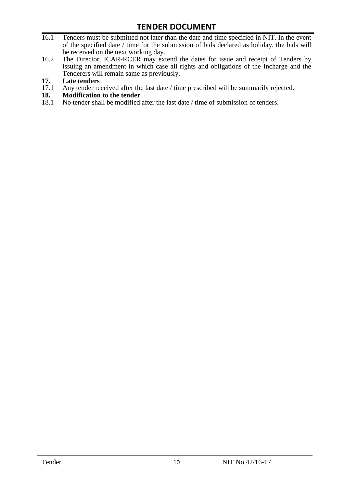- 16.1 Tenders must be submitted not later than the date and time specified in NIT. In the event of the specified date / time for the submission of bids declared as holiday, the bids will be received on the next working day.
- 16.2 The Director, ICAR-RCER may extend the dates for issue and receipt of Tenders by issuing an amendment in which case all rights and obligations of the Incharge and the Tenderers will remain same as previously.

# **17. Late tenders**

- 17.1 Any tender received after the last date / time prescribed will be summarily rejected.<br>18. Modification to the tender
- **18. Modification to the tender**<br>18.1 No tender shall be modified
- No tender shall be modified after the last date / time of submission of tenders.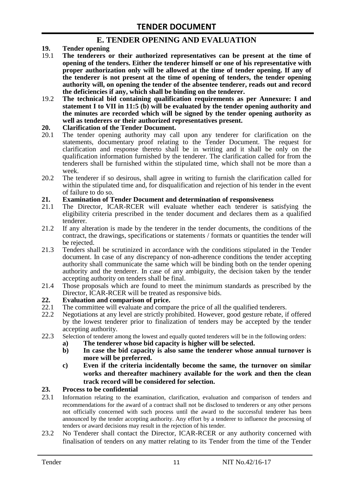## **E. TENDER OPENING AND EVALUATION**

- **19. Tender opening**
- 19.1 **The tenderers or their authorized representatives can be present at the time of opening of the tenders. Either the tenderer himself or one of his representative with proper authorization only will be allowed at the time of tender opening. If any of the tenderer is not present at the time of opening of tenders, the tender opening authority will, on opening the tender of the absentee tenderer, reads out and record the deficiencies if any, which shall be binding on the tenderer.**
- 19.2 **The technical bid containing qualification requirements as per Annexure: I and statement I to VII in 11:5 (b) will be evaluated by the tender opening authority and the minutes are recorded which will be signed by the tender opening authority as well as tenderers or their authorized representatives present.**

#### **20. Clarification of the Tender Document.**

- 20.1 The tender opening authority may call upon any tenderer for clarification on the statements, documentary proof relating to the Tender Document. The request for clarification and response thereto shall be in writing and it shall be only on the qualification information furnished by the tenderer. The clarification called for from the tenderers shall be furnished within the stipulated time, which shall not be more than a week.
- 20.2 The tenderer if so desirous, shall agree in writing to furnish the clarification called for within the stipulated time and, for disqualification and rejection of his tender in the event of failure to do so.

# **21. Examination of Tender Document and determination of responsiveness**

- 21.1 The Director, ICAR-RCER will evaluate whether each tenderer is satisfying the eligibility criteria prescribed in the tender document and declares them as a qualified tenderer.
- 21.2 If any alteration is made by the tenderer in the tender documents, the conditions of the contract, the drawings, specifications or statements / formats or quantities the tender will be rejected.
- 21.3 Tenders shall be scrutinized in accordance with the conditions stipulated in the Tender document. In case of any discrepancy of non-adherence conditions the tender accepting authority shall communicate the same which will be binding both on the tender opening authority and the tenderer. In case of any ambiguity, the decision taken by the tender accepting authority on tenders shall be final.
- 21.4 Those proposals which are found to meet the minimum standards as prescribed by the Director, ICAR-RCER will be treated as responsive bids.

# **22. Evaluation and comparison of price.**

- The committee will evaluate and compare the price of all the qualified tenderers.
- 22.2 Negotiations at any level are strictly prohibited. However, good gesture rebate, if offered by the lowest tenderer prior to finalization of tenders may be accepted by the tender accepting authority.
- 22.3 Selection of tenderer among the lowest and equally quoted tenderers will be in the following orders:
	- **a) The tenderer whose bid capacity is higher will be selected.**
	- **b) In case the bid capacity is also same the tenderer whose annual turnover is more will be preferred.**
	- **c) Even if the criteria incidentally become the same, the turnover on similar works and thereafter machinery available for the work and then the clean track record will be considered for selection.**

#### **23. Process to be confidential**

- 23.1 Information relating to the examination, clarification, evaluation and comparison of tenders and recommendations for the award of a contract shall not be disclosed to tenderers or any other persons not officially concerned with such process until the award to the successful tenderer has been announced by the tender accepting authority. Any effort by a tenderer to influence the processing of tenders or award decisions may result in the rejection of his tender.
- 23.2 No Tenderer shall contact the Director, ICAR-RCER or any authority concerned with finalisation of tenders on any matter relating to its Tender from the time of the Tender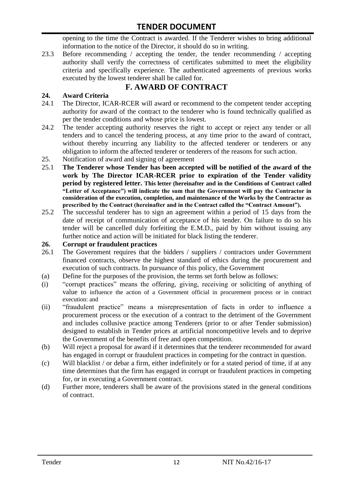opening to the time the Contract is awarded. If the Tenderer wishes to bring additional information to the notice of the Director, it should do so in writing.

23.3 Before recommending / accepting the tender, the tender recommending / accepting authority shall verify the correctness of certificates submitted to meet the eligibility criteria and specifically experience. The authenticated agreements of previous works executed by the lowest tenderer shall be called for.

# **F. AWARD OF CONTRACT**

#### **24. Award Criteria**

- 24.1 The Director, ICAR-RCER will award or recommend to the competent tender accepting authority for award of the contract to the tenderer who is found technically qualified as per the tender conditions and whose price is lowest.
- 24.2 The tender accepting authority reserves the right to accept or reject any tender or all tenders and to cancel the tendering process, at any time prior to the award of contract, without thereby incurring any liability to the affected tenderer or tenderers or any obligation to inform the affected tenderer or tenderers of the reasons for such action.
- 25. Notification of award and signing of agreement
- 25.1 **The Tenderer whose Tender has been accepted will be notified of the award of the work by The Director ICAR-RCER prior to expiration of the Tender validity period by registered letter. This letter (hereinafter and in the Conditions of Contract called "Letter of Acceptance") will indicate the sum that the Government will pay the Contractor in consideration of the execution, completion, and maintenance of the Works by the Contractor as prescribed by the Contract (hereinafter and in the Contract called the "Contract Amount").**
- 25.2 The successful tenderer has to sign an agreement within a period of 15 days from the date of receipt of communication of acceptance of his tender. On failure to do so his tender will be cancelled duly forfeiting the E.M.D., paid by him without issuing any further notice and action will be initiated for black listing the tenderer.

#### **26. Corrupt or fraudulent practices**

- 26.1 The Government requires that the bidders / suppliers / contractors under Government financed contracts, observe the highest standard of ethics during the procurement and execution of such contracts. In pursuance of this policy, the Government
- (a) Define for the purposes of the provision, the terms set forth below as follows:
- (i) "corrupt practices" means the offering, giving, receiving or soliciting of anything of value to influence the action of a Government official in procurement process or in contract execution: and
- (ii) "fraudulent practice" means a misrepresentation of facts in order to influence a procurement process or the execution of a contract to the detriment of the Government and includes collusive practice among Tenderers (prior to or after Tender submission) designed to establish in Tender prices at artificial noncompetitive levels and to deprive the Government of the benefits of free and open competition.
- (b) Will reject a proposal for award if it determines that the tenderer recommended for award has engaged in corrupt or fraudulent practices in competing for the contract in question.
- (c) Will blacklist / or debar a firm, either indefinitely or for a stated period of time, if at any time determines that the firm has engaged in corrupt or fraudulent practices in competing for, or in executing a Government contract.
- (d) Further more, tenderers shall be aware of the provisions stated in the general conditions of contract.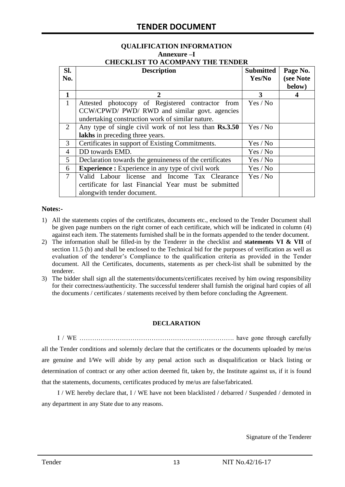# **QUALIFICATION INFORMATION Annexure –I**

|  |  | <b>CHECKLIST TO ACOMPANY THE TENDER</b> |  |
|--|--|-----------------------------------------|--|
|  |  |                                         |  |

| SI.<br>No.     | <b>Description</b>                                                                                                                                    | <b>Submitted</b><br>Yes/No | Page No.<br>(see Note<br>below) |
|----------------|-------------------------------------------------------------------------------------------------------------------------------------------------------|----------------------------|---------------------------------|
| 1              | 2                                                                                                                                                     | 3                          | 4                               |
| $\mathbf{1}$   | Attested photocopy of Registered contractor from<br>CCW/CPWD/ PWD/ RWD and similar govt. agencies<br>undertaking construction work of similar nature. | Yes / No                   |                                 |
| 2              | Any type of single civil work of not less than Rs.3.50<br>lakhs in preceding three years.                                                             | Yes / No                   |                                 |
| 3              | Certificates in support of Existing Commitments.                                                                                                      | Yes / No                   |                                 |
| 4              | DD towards EMD.                                                                                                                                       | Yes / No                   |                                 |
| 5              | Declaration towards the genuineness of the certificates                                                                                               | Yes / No                   |                                 |
| 6              | <b>Experience :</b> Experience in any type of civil work                                                                                              | Yes / No                   |                                 |
| $\overline{7}$ | Valid Labour license and Income Tax Clearance<br>certificate for last Financial Year must be submitted<br>alongwith tender document.                  | Yes / No                   |                                 |

#### **Notes:-**

- 1) All the statements copies of the certificates, documents etc., enclosed to the Tender Document shall be given page numbers on the right corner of each certificate, which will be indicated in column (4) against each item. The statements furnished shall be in the formats appended to the tender document.
- 2) The information shall be filled-in by the Tenderer in the checklist and **statements VI & VII** of section 11.5 (b) and shall be enclosed to the Technical bid for the purposes of verification as well as evaluation of the tenderer"s Compliance to the qualification criteria as provided in the Tender document. All the Certificates, documents, statements as per check-list shall be submitted by the tenderer.
- 3) The bidder shall sign all the statements/documents/certificates received by him owing responsibility for their correctness/authenticity. The successful tenderer shall furnish the original hard copies of all the documents / certificates / statements received by them before concluding the Agreement.

#### **DECLARATION**

I / WE ………………………………………………………………. have gone through carefully all the Tender conditions and solemnly declare that the certificates or the documents uploaded by me/us are genuine and I/We will abide by any penal action such as disqualification or black listing or determination of contract or any other action deemed fit, taken by, the Institute against us, if it is found that the statements, documents, certificates produced by me/us are false/fabricated.

I / WE hereby declare that, I / WE have not been blacklisted / debarred / Suspended / demoted in any department in any State due to any reasons.

Signature of the Tenderer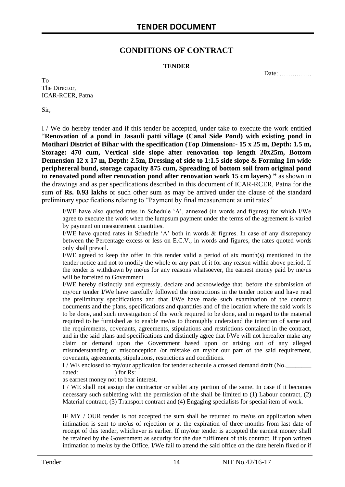### **CONDITIONS OF CONTRACT**

#### **TENDER**

Date: ……………

To The Director, ICAR-RCER, Patna

Sir,

I / We do hereby tender and if this tender be accepted, under take to execute the work entitled "**Renovation of a pond in Jasauli patti village (Canal Side Pond) with existing pond in Motihari District of Bihar with the specification (Top Dimension:- 15 x 25 m, Depth: 1.5 m, Storage: 470 cum, Vertical side slope after renovation top length 20x25m, Bottom Demension 12 x 17 m, Depth: 2.5m, Dressing of side to 1:1.5 side slope & Forming 1m wide periphereral bund, storage capacity 875 cum, Spreading of bottom soil from original pond to renovated pond after renovation pond after renovation work 15 cm layers) "** as shown in the drawings and as per specifications described in this document of ICAR-RCER, Patna for the sum of **Rs. 0.93 lakhs** or such other sum as may be arrived under the clause of the standard preliminary specifications relating to "Payment by final measurement at unit rates"

I/WE have also quoted rates in Schedule "A", annexed (in words and figures) for which I/We agree to execute the work when the lumpsum payment under the terms of the agreement is varied by payment on measurement quantities.

I/WE have quoted rates in Schedule "A" both in words & figures. In case of any discrepancy between the Percentage excess or less on E.C.V., in words and figures, the rates quoted words only shall prevail.

I/WE agreed to keep the offer in this tender valid a period of six month(s) mentioned in the tender notice and not to modify the whole or any part of it for any reason within above period. If the tender is withdrawn by me/us for any reasons whatsoever, the earnest money paid by me/us will be forfeited to Government

I/WE hereby distinctly and expressly, declare and acknowledge that, before the submission of my/our tender I/We have carefully followed the instructions in the tender notice and have read the preliminary specifications and that I/We have made such examination of the contract documents and the plans, specifications and quantities and of the location where the said work is to be done, and such investigation of the work required to be done, and in regard to the material required to be furnished as to enable me/us to thoroughly understand the intention of same and the requirements, covenants, agreements, stipulations and restrictions contained in the contract, and in the said plans and specifications and distinctly agree that I/We will not hereafter make any claim or demand upon the Government based upon or arising out of any alleged misunderstanding or misconception /or mistake on my/or our part of the said requirement, covenants, agreements, stipulations, restrictions and conditions.

I / WE enclosed to my/our application for tender schedule a crossed demand draft (No.

dated:  $\qquad \qquad$  for Rs: as earnest money not to bear interest.

I / WE shall not assign the contractor or sublet any portion of the same. In case if it becomes necessary such subletting with the permission of the shall be limited to (1) Labour contract, (2) Material contract, (3) Transport contract and (4) Engaging specialists for special item of work.

IF MY / OUR tender is not accepted the sum shall be returned to me/us on application when intimation is sent to me/us of rejection or at the expiration of three months from last date of receipt of this tender, whichever is earlier. If my/our tender is accepted the earnest money shall be retained by the Government as security for the due fulfilment of this contract. If upon written intimation to me/us by the Office, I/We fail to attend the said office on the date herein fixed or if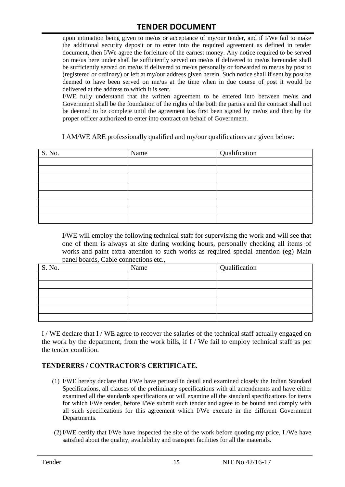upon intimation being given to me/us or acceptance of my/our tender, and if I/We fail to make the additional security deposit or to enter into the required agreement as defined in tender document, then I/We agree the forfeiture of the earnest money. Any notice required to be served on me/us here under shall be sufficiently served on me/us if delivered to me/us hereunder shall be sufficiently served on me/us if delivered to me/us personally or forwarded to me/us by post to (registered or ordinary) or left at my/our address given herein. Such notice shall if sent by post be deemed to have been served on me/us at the time when in due course of post it would be delivered at the address to which it is sent.

I/WE fully understand that the written agreement to be entered into between me/us and Government shall be the foundation of the rights of the both the parties and the contract shall not be deemed to be complete until the agreement has first been signed by me/us and then by the proper officer authorized to enter into contract on behalf of Government.

I AM/WE ARE professionally qualified and my/our qualifications are given below:

| S. No. | Name | Qualification |
|--------|------|---------------|
|        |      |               |
|        |      |               |
|        |      |               |
|        |      |               |
|        |      |               |
|        |      |               |
|        |      |               |
|        |      |               |

I/WE will employ the following technical staff for supervising the work and will see that one of them is always at site during working hours, personally checking all items of works and paint extra attention to such works as required special attention (eg) Main panel boards, Cable connections etc.,

| S. No. | Name | Qualification |
|--------|------|---------------|
|        |      |               |
|        |      |               |
|        |      |               |
|        |      |               |
|        |      |               |
|        |      |               |

I / WE declare that I / WE agree to recover the salaries of the technical staff actually engaged on the work by the department, from the work bills, if I / We fail to employ technical staff as per the tender condition.

#### **TENDERERS / CONTRACTOR'S CERTIFICATE.**

- (1) I/WE hereby declare that I/We have perused in detail and examined closely the Indian Standard Specifications, all clauses of the preliminary specifications with all amendments and have either examined all the standards specifications or will examine all the standard specifications for items for which I/We tender, before I/We submit such tender and agree to be bound and comply with all such specifications for this agreement which I/We execute in the different Government Departments.
- (2)I/WE certify that I/We have inspected the site of the work before quoting my price, I /We have satisfied about the quality, availability and transport facilities for all the materials.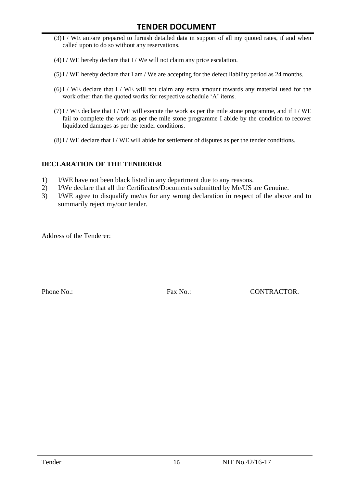- (3)I / WE am/are prepared to furnish detailed data in support of all my quoted rates, if and when called upon to do so without any reservations.
- $(4)$  I / WE hereby declare that I / We will not claim any price escalation.
- (5)I / WE hereby declare that I am / We are accepting for the defect liability period as 24 months.
- (6)I / WE declare that I / WE will not claim any extra amount towards any material used for the work other than the quoted works for respective schedule 'A' items.
- $(7)$ I / WE declare that I / WE will execute the work as per the mile stone programme, and if I / WE fail to complete the work as per the mile stone programme I abide by the condition to recover liquidated damages as per the tender conditions.
- $(8)$ I / WE declare that I / WE will abide for settlement of disputes as per the tender conditions.

#### **DECLARATION OF THE TENDERER**

- 1) I/WE have not been black listed in any department due to any reasons.
- 2) I/We declare that all the Certificates/Documents submitted by Me/US are Genuine.
- 3) I/WE agree to disqualify me/us for any wrong declaration in respect of the above and to summarily reject my/our tender.

Address of the Tenderer:

Phone No.: Fax No.: Fax No.: CONTRACTOR.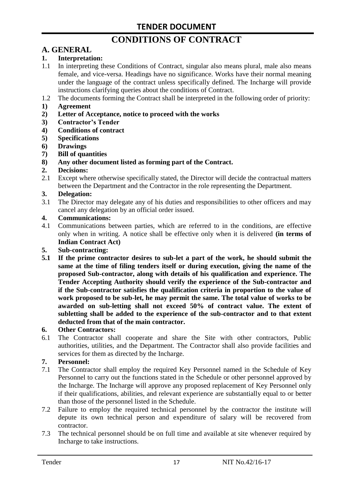# **CONDITIONS OF CONTRACT**

# **A. GENERAL**

#### **1. Interpretation:**

- 1.1 In interpreting these Conditions of Contract, singular also means plural, male also means female, and vice-versa. Headings have no significance. Works have their normal meaning under the language of the contract unless specifically defined. The Incharge will provide instructions clarifying queries about the conditions of Contract.
- 1.2 The documents forming the Contract shall be interpreted in the following order of priority:
- **1) Agreement**
- **2) Letter of Acceptance, notice to proceed with the works**
- **3) Contractor's Tender**
- **4) Conditions of contract**
- **5) Specifications**
- **6) Drawings**
- **7) Bill of quantities**
- **8) Any other document listed as forming part of the Contract.**

#### **2. Decisions:**

2.1 Except where otherwise specifically stated, the Director will decide the contractual matters between the Department and the Contractor in the role representing the Department.

#### **3. Delegation:**

3.1 The Director may delegate any of his duties and responsibilities to other officers and may cancel any delegation by an official order issued.

#### **4. Communications:**

4.1 Communications between parties, which are referred to in the conditions, are effective only when in writing. A notice shall be effective only when it is delivered **(in terms of Indian Contract Act)**

#### **5. Sub-contracting:**

**5.1 If the prime contractor desires to sub-let a part of the work, he should submit the same at the time of filing tenders itself or during execution, giving the name of the proposed Sub-contractor, along with details of his qualification and experience. The Tender Accepting Authority should verify the experience of the Sub-contractor and if the Sub-contractor satisfies the qualification criteria in proportion to the value of work proposed to be sub-let, he may permit the same. The total value of works to be awarded on sub-letting shall not exceed 50% of contract value. The extent of subletting shall be added to the experience of the sub-contractor and to that extent deducted from that of the main contractor.**

#### **6. Other Contractors:**

6.1 The Contractor shall cooperate and share the Site with other contractors, Public authorities, utilities, and the Department. The Contractor shall also provide facilities and services for them as directed by the Incharge.

#### **7. Personnel:**

- 7.1 The Contractor shall employ the required Key Personnel named in the Schedule of Key Personnel to carry out the functions stated in the Schedule or other personnel approved by the Incharge. The Incharge will approve any proposed replacement of Key Personnel only if their qualifications, abilities, and relevant experience are substantially equal to or better than those of the personnel listed in the Schedule.
- 7.2 Failure to employ the required technical personnel by the contractor the institute will depute its own technical person and expenditure of salary will be recovered from contractor.
- 7.3 The technical personnel should be on full time and available at site whenever required by Incharge to take instructions.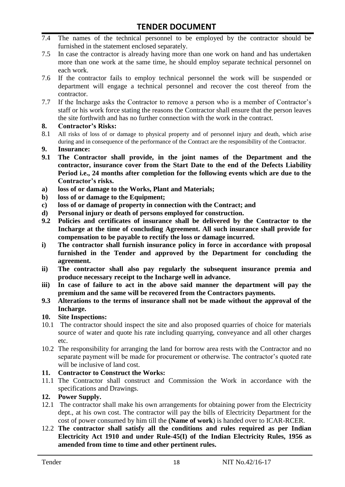- 7.4 The names of the technical personnel to be employed by the contractor should be furnished in the statement enclosed separately.
- 7.5 In case the contractor is already having more than one work on hand and has undertaken more than one work at the same time, he should employ separate technical personnel on each work.
- 7.6 If the contractor fails to employ technical personnel the work will be suspended or department will engage a technical personnel and recover the cost thereof from the contractor.
- 7.7 If the Incharge asks the Contractor to remove a person who is a member of Contractor"s staff or his work force stating the reasons the Contractor shall ensure that the person leaves the site forthwith and has no further connection with the work in the contract.

#### **8. Contractor's Risks:**

- 8.1 All risks of loss of or damage to physical property and of personnel injury and death, which arise during and in consequence of the performance of the Contract are the responsibility of the Contractor.
- **9. Insurance:**
- **9.1 The Contractor shall provide, in the joint names of the Department and the contractor, insurance cover from the Start Date to the end of the Defects Liability Period i.e., 24 months after completion for the following events which are due to the Contractor's risks.**
- **a) loss of or damage to the Works, Plant and Materials;**
- **b) loss of or damage to the Equipment;**
- **c) loss of or damage of property in connection with the Contract; and**
- **d) Personal injury or death of persons employed for construction.**
- **9.2 Policies and certificates of insurance shall be delivered by the Contractor to the Incharge at the time of concluding Agreement. All such insurance shall provide for compensation to be payable to rectify the loss or damage incurred.**
- **i) The contractor shall furnish insurance policy in force in accordance with proposal furnished in the Tender and approved by the Department for concluding the agreement.**
- **ii) The contractor shall also pay regularly the subsequent insurance premia and produce necessary receipt to the Incharge well in advance.**
- **iii) In case of failure to act in the above said manner the department will pay the premium and the same will be recovered from the Contractors payments.**
- **9.3 Alterations to the terms of insurance shall not be made without the approval of the Incharge.**

#### **10. Site Inspections:**

- 10.1 The contractor should inspect the site and also proposed quarries of choice for materials source of water and quote his rate including quarrying, conveyance and all other charges etc.
- 10.2 The responsibility for arranging the land for borrow area rests with the Contractor and no separate payment will be made for procurement or otherwise. The contractor's quoted rate will be inclusive of land cost.

#### **11. Contractor to Construct the Works:**

11.1 The Contractor shall construct and Commission the Work in accordance with the specifications and Drawings.

#### **12. Power Supply.**

- 12.1 The contractor shall make his own arrangements for obtaining power from the Electricity dept., at his own cost. The contractor will pay the bills of Electricity Department for the cost of power consumed by him till the **(Name of work**) is handed over to ICAR-RCER.
- 12.2 **The contractor shall satisfy all the conditions and rules required as per Indian Electricity Act 1910 and under Rule-45(I) of the Indian Electricity Rules, 1956 as amended from time to time and other pertinent rules.**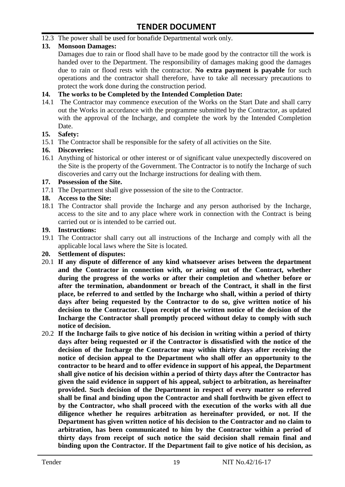12.3 The power shall be used for bonafide Departmental work only.

#### **13. Monsoon Damages:**

Damages due to rain or flood shall have to be made good by the contractor till the work is handed over to the Department. The responsibility of damages making good the damages due to rain or flood rests with the contractor. **No extra payment is payable** for such operations and the contractor shall therefore, have to take all necessary precautions to protect the work done during the construction period.

#### **14. The works to be Completed by the Intended Completion Date:**

14.1 The Contractor may commence execution of the Works on the Start Date and shall carry out the Works in accordance with the programme submitted by the Contractor, as updated with the approval of the Incharge, and complete the work by the Intended Completion Date.

#### **15. Safety:**

15.1 The Contractor shall be responsible for the safety of all activities on the Site.

#### **16. Discoveries:**

16.1 Anything of historical or other interest or of significant value unexpectedly discovered on the Site is the property of the Government. The Contractor is to notify the Incharge of such discoveries and carry out the Incharge instructions for dealing with them.

#### **17. Possession of the Site.**

17.1 The Department shall give possession of the site to the Contractor.

#### **18. Access to the Site:**

18.1 The Contractor shall provide the Incharge and any person authorised by the Incharge, access to the site and to any place where work in connection with the Contract is being carried out or is intended to be carried out.

#### **19. Instructions:**

- 19.1 The Contractor shall carry out all instructions of the Incharge and comply with all the applicable local laws where the Site is located.
- **20. Settlement of disputes:**
- 20.1 **If any dispute of difference of any kind whatsoever arises between the department and the Contractor in connection with, or arising out of the Contract, whether during the progress of the works or after their completion and whether before or after the termination, abandonment or breach of the Contract, it shall in the first place, be referred to and settled by the Incharge who shall, within a period of thirty days after being requested by the Contractor to do so, give written notice of his decision to the Contractor. Upon receipt of the written notice of the decision of the Incharge the Contractor shall promptly proceed without delay to comply with such notice of decision.**
- 20.2 **If the Incharge fails to give notice of his decision in writing within a period of thirty days after being requested or if the Contractor is dissatisfied with the notice of the decision of the Incharge the Contractor may within thirty days after receiving the notice of decision appeal to the Department who shall offer an opportunity to the contractor to be heard and to offer evidence in support of his appeal, the Department shall give notice of his decision within a period of thirty days after the Contractor has given the said evidence in support of his appeal, subject to arbitration, as hereinafter provided. Such decision of the Department in respect of every matter so referred shall be final and binding upon the Contractor and shall forthwith be given effect to by the Contractor, who shall proceed with the execution of the works with all due diligence whether he requires arbitration as hereinafter provided, or not. If the Department has given written notice of his decision to the Contractor and no claim to arbitration, has been communicated to him by the Contractor within a period of thirty days from receipt of such notice the said decision shall remain final and binding upon the Contractor. If the Department fail to give notice of his decision, as**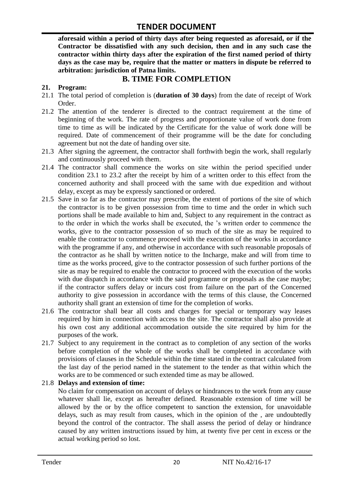**aforesaid within a period of thirty days after being requested as aforesaid, or if the Contractor be dissatisfied with any such decision, then and in any such case the contractor within thirty days after the expiration of the first named period of thirty days as the case may be, require that the matter or matters in dispute be referred to arbitration: jurisdiction of Patna limits.**

## **B. TIME FOR COMPLETION**

#### **21. Program:**

- 21.1 The total period of completion is (**duration of 30 days**) from the date of receipt of Work Order.
- 21.2 The attention of the tenderer is directed to the contract requirement at the time of beginning of the work. The rate of progress and proportionate value of work done from time to time as will be indicated by the Certificate for the value of work done will be required. Date of commencement of their programme will be the date for concluding agreement but not the date of handing over site.
- 21.3 After signing the agreement, the contractor shall forthwith begin the work, shall regularly and continuously proceed with them.
- 21.4 The contractor shall commence the works on site within the period specified under condition 23.1 to 23.2 after the receipt by him of a written order to this effect from the concerned authority and shall proceed with the same with due expedition and without delay, except as may be expressly sanctioned or ordered.
- 21.5 Save in so far as the contractor may prescribe, the extent of portions of the site of which the contractor is to be given possession from time to time and the order in which such portions shall be made available to him and, Subject to any requirement in the contract as to the order in which the works shall be executed, the "s written order to commence the works, give to the contractor possession of so much of the site as may be required to enable the contractor to commence proceed with the execution of the works in accordance with the programme if any, and otherwise in accordance with such reasonable proposals of the contractor as he shall by written notice to the Incharge, make and will from time to time as the works proceed, give to the contractor possession of such further portions of the site as may be required to enable the contractor to proceed with the execution of the works with due dispatch in accordance with the said programme or proposals as the case maybe; if the contractor suffers delay or incurs cost from failure on the part of the Concerned authority to give possession in accordance with the terms of this clause, the Concerned authority shall grant an extension of time for the completion of works.
- 21.6 The contractor shall bear all costs and charges for special or temporary way leases required by him in connection with access to the site. The contractor shall also provide at his own cost any additional accommodation outside the site required by him for the purposes of the work.
- 21.7 Subject to any requirement in the contract as to completion of any section of the works before completion of the whole of the works shall be completed in accordance with provisions of clauses in the Schedule within the time stated in the contract calculated from the last day of the period named in the statement to the tender as that within which the works are to be commenced or such extended time as may be allowed.

#### 21.8 **Delays and extension of time:**

No claim for compensation on account of delays or hindrances to the work from any cause whatever shall lie, except as hereafter defined. Reasonable extension of time will be allowed by the or by the office competent to sanction the extension, for unavoidable delays, such as may result from causes, which in the opinion of the , are undoubtedly beyond the control of the contractor. The shall assess the period of delay or hindrance caused by any written instructions issued by him, at twenty five per cent in excess or the actual working period so lost.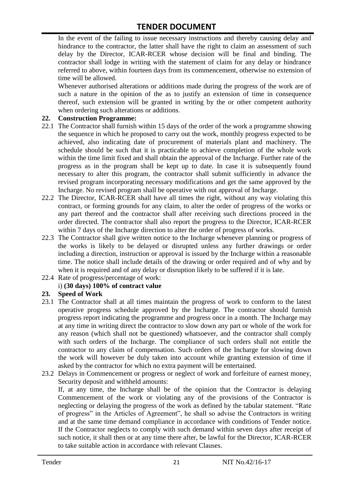In the event of the failing to issue necessary instructions and thereby causing delay and hindrance to the contractor, the latter shall have the right to claim an assessment of such delay by the Director, ICAR-RCER whose decision will be final and binding. The contractor shall lodge in writing with the statement of claim for any delay or hindrance referred to above, within fourteen days from its commencement, otherwise no extension of time will be allowed.

Whenever authorised alterations or additions made during the progress of the work are of such a nature in the opinion of the as to justify an extension of time in consequence thereof, such extension will be granted in writing by the or other competent authority when ordering such alterations or additions.

#### **22. Construction Programme:**

- 22.1 The Contractor shall furnish within 15 days of the order of the work a programme showing the sequence in which he proposed to carry out the work, monthly progress expected to be achieved, also indicating date of procurement of materials plant and machinery. The schedule should be such that it is practicable to achieve completion of the whole work within the time limit fixed and shall obtain the approval of the Incharge. Further rate of the progress as in the program shall be kept up to date. In case it is subsequently found necessary to alter this program, the contractor shall submit sufficiently in advance the revised program incorporating necessary modifications and get the same approved by the Incharge. No revised program shall be operative with out approval of Incharge.
- 22.2 The Director, ICAR-RCER shall have all times the right, without any way violating this contract, or forming grounds for any claim, to alter the order of progress of the works or any part thereof and the contractor shall after receiving such directions proceed in the order directed. The contractor shall also report the progress to the Director, ICAR-RCER within 7 days of the Incharge direction to alter the order of progress of works.
- 22.3 The Contractor shall give written notice to the Incharge whenever planning or progress of the works is likely to be delayed or disrupted unless any further drawings or order including a direction, instruction or approval is issued by the Incharge within a reasonable time. The notice shall include details of the drawing or order required and of why and by when it is required and of any delay or disruption likely to be suffered if it is late.
- 22.4 Rate of progress/percentage of work:

#### i) **(30 days) 100% of contract value**

#### **23. Speed of Work**

- 23.1 The Contractor shall at all times maintain the progress of work to conform to the latest operative progress schedule approved by the Incharge. The contractor should furnish progress report indicating the programme and progress once in a month. The Incharge may at any time in writing direct the contractor to slow down any part or whole of the work for any reason (which shall not be questioned) whatsoever, and the contractor shall comply with such orders of the Incharge. The compliance of such orders shall not entitle the contractor to any claim of compensation. Such orders of the Incharge for slowing down the work will however be duly taken into account while granting extension of time if asked by the contractor for which no extra payment will be entertained.
- 23.2 Delays in Commencement or progress or neglect of work and forfeiture of earnest money, Security deposit and withheld amounts:

If, at any time, the Incharge shall be of the opinion that the Contractor is delaying Commencement of the work or violating any of the provisions of the Contractor is neglecting or delaying the progress of the work as defined by the tabular statement. "Rate of progress" in the Articles of Agreement", he shall so advise the Contractors in writing and at the same time demand compliance in accordance with conditions of Tender notice. If the Contractor neglects to comply with such demand within seven days after receipt of such notice, it shall then or at any time there after, be lawful for the Director, ICAR-RCER to take suitable action in accordance with relevant Clauses.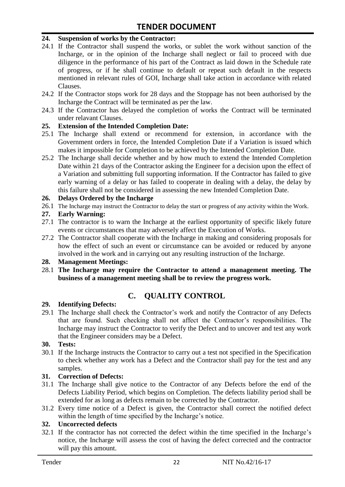#### **24. Suspension of works by the Contractor:**

- 24.1 If the Contractor shall suspend the works, or sublet the work without sanction of the Incharge, or in the opinion of the Incharge shall neglect or fail to proceed with due diligence in the performance of his part of the Contract as laid down in the Schedule rate of progress, or if he shall continue to default or repeat such default in the respects mentioned in relevant rules of GOI, Incharge shall take action in accordance with related Clauses.
- 24.2 If the Contractor stops work for 28 days and the Stoppage has not been authorised by the Incharge the Contract will be terminated as per the law.
- 24.3 If the Contractor has delayed the completion of works the Contract will be terminated under relavant Clauses.

#### **25. Extension of the Intended Completion Date:**

- 25.1 The Incharge shall extend or recommend for extension, in accordance with the Government orders in force, the Intended Completion Date if a Variation is issued which makes it impossible for Completion to be achieved by the Intended Completion Date.
- 25.2 The Incharge shall decide whether and by how much to extend the Intended Completion Date within 21 days of the Contractor asking the Engineer for a decision upon the effect of a Variation and submitting full supporting information. If the Contractor has failed to give early warning of a delay or has failed to cooperate in dealing with a delay, the delay by this failure shall not be considered in assessing the new Intended Completion Date.

#### **26. Delays Ordered by the Incharge**

26.1 The Incharge may instruct the Contractor to delay the start or progress of any activity within the Work.

#### **27. Early Warning:**

- 27.1 The contractor is to warn the Incharge at the earliest opportunity of specific likely future events or circumstances that may adversely affect the Execution of Works.
- 27.2 The Contractor shall cooperate with the Incharge in making and considering proposals for how the effect of such an event or circumstance can be avoided or reduced by anyone involved in the work and in carrying out any resulting instruction of the Incharge.

#### **28. Management Meetings:**

28.1 **The Incharge may require the Contractor to attend a management meeting. The business of a management meeting shall be to review the progress work.**

## **C. QUALITY CONTROL**

#### **29. Identifying Defects:**

29.1 The Incharge shall check the Contractor's work and notify the Contractor of any Defects that are found. Such checking shall not affect the Contractor"s responsibilities. The Incharge may instruct the Contractor to verify the Defect and to uncover and test any work that the Engineer considers may be a Defect.

#### **30. Tests:**

30.1 If the Incharge instructs the Contractor to carry out a test not specified in the Specification to check whether any work has a Defect and the Contractor shall pay for the test and any samples.

#### **31. Correction of Defects:**

- 31.1 The Incharge shall give notice to the Contractor of any Defects before the end of the Defects Liability Period, which begins on Completion. The defects liability period shall be extended for as long as defects remain to be corrected by the Contractor.
- 31.2 Every time notice of a Defect is given, the Contractor shall correct the notified defect within the length of time specified by the Incharge's notice.

#### **32. Uncorrected defects**

32.1 If the contractor has not corrected the defect within the time specified in the Incharge"s notice, the Incharge will assess the cost of having the defect corrected and the contractor will pay this amount.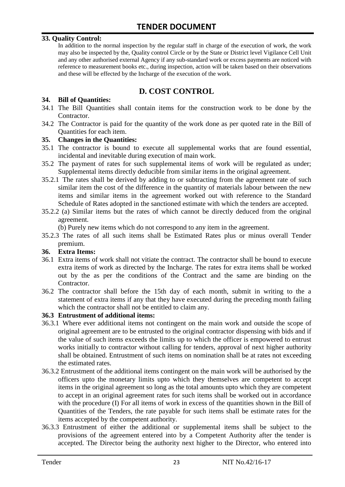#### **33. Quality Control:**

In addition to the normal inspection by the regular staff in charge of the execution of work, the work may also be inspected by the, Quality control Circle or by the State or District level Vigilance Cell Unit and any other authorised external Agency if any sub-standard work or excess payments are noticed with reference to measurement books etc., during inspection, action will be taken based on their observations and these will be effected by the Incharge of the execution of the work.

# **D. COST CONTROL**

#### **34. Bill of Quantities:**

- 34.1 The Bill Quantities shall contain items for the construction work to be done by the Contractor.
- 34.2 The Contractor is paid for the quantity of the work done as per quoted rate in the Bill of Quantities for each item.

#### **35. Changes in the Quantities:**

- 35.1 The contractor is bound to execute all supplemental works that are found essential, incidental and inevitable during execution of main work.
- 35.2 The payment of rates for such supplemental items of work will be regulated as under; Supplemental items directly deducible from similar items in the original agreement.
- 35.2.1 The rates shall be derived by adding to or subtracting from the agreement rate of such similar item the cost of the difference in the quantity of materials labour between the new items and similar items in the agreement worked out with reference to the Standard Schedule of Rates adopted in the sanctioned estimate with which the tenders are accepted.
- 35.2.2 (a) Similar items but the rates of which cannot be directly deduced from the original agreement.

(b) Purely new items which do not correspond to any item in the agreement.

35.2.3 The rates of all such items shall be Estimated Rates plus or minus overall Tender premium.

#### **36. Extra Items:**

- 36.1 Extra items of work shall not vitiate the contract. The contractor shall be bound to execute extra items of work as directed by the Incharge. The rates for extra items shall be worked out by the as per the conditions of the Contract and the same are binding on the Contractor.
- 36.2 The contractor shall before the 15th day of each month, submit in writing to the a statement of extra items if any that they have executed during the preceding month failing which the contractor shall not be entitled to claim any.

#### **36.3 Entrustment of additional items:**

- 36.3.1 Where ever additional items not contingent on the main work and outside the scope of original agreement are to be entrusted to the original contractor dispensing with bids and if the value of such items exceeds the limits up to which the officer is empowered to entrust works initially to contractor without calling for tenders, approval of next higher authority shall be obtained. Entrustment of such items on nomination shall be at rates not exceeding the estimated rates.
- 36.3.2 Entrustment of the additional items contingent on the main work will be authorised by the officers upto the monetary limits upto which they themselves are competent to accept items in the original agreement so long as the total amounts upto which they are competent to accept in an original agreement rates for such items shall be worked out in accordance with the procedure (I) For all items of work in excess of the quantities shown in the Bill of Quantities of the Tenders, the rate payable for such items shall be estimate rates for the items accepted by the competent authority.
- 36.3.3 Entrustment of either the additional or supplemental items shall be subject to the provisions of the agreement entered into by a Competent Authority after the tender is accepted. The Director being the authority next higher to the Director, who entered into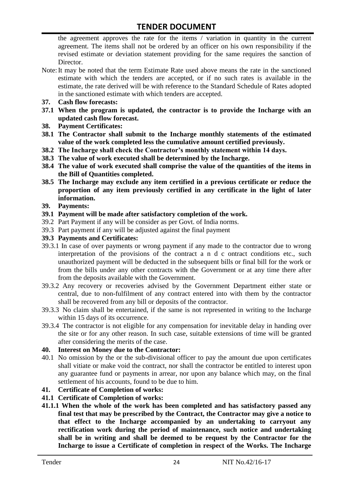the agreement approves the rate for the items / variation in quantity in the current agreement. The items shall not be ordered by an officer on his own responsibility if the revised estimate or deviation statement providing for the same requires the sanction of Director.

- Note:It may be noted that the term Estimate Rate used above means the rate in the sanctioned estimate with which the tenders are accepted, or if no such rates is available in the estimate, the rate derived will be with reference to the Standard Schedule of Rates adopted in the sanctioned estimate with which tenders are accepted.
- **37. Cash flow forecasts:**
- **37.1 When the program is updated, the contractor is to provide the Incharge with an updated cash flow forecast.**
- **38. Payment Certificates:**
- **38.1 The Contractor shall submit to the Incharge monthly statements of the estimated value of the work completed less the cumulative amount certified previously.**
- **38.2 The Incharge shall check the Contractor's monthly statement within 14 days.**
- **38.3 The value of work executed shall be determined by the Incharge.**
- **38.4 The value of work executed shall comprise the value of the quantities of the items in the Bill of Quantities completed.**
- **38.5 The Incharge may exclude any item certified in a previous certificate or reduce the proportion of any item previously certified in any certificate in the light of later information.**
- **39. Payments:**
- **39.1 Payment will be made after satisfactory completion of the work.**
- 39.2 Part Payment if any will be consider as per Govt. of India norms.
- 39.3 Part payment if any will be adjusted against the final payment
- **39.3 Payments and Certificates:**
- 39.3.1 In case of over payments or wrong payment if any made to the contractor due to wrong interpretation of the provisions of the contract a n d c ontract conditions etc., such unauthorized payment will be deducted in the subsequent bills or final bill for the work or from the bills under any other contracts with the Government or at any time there after from the deposits available with the Government.
- 39.3.2 Any recovery or recoveries advised by the Government Department either state or central, due to non-fulfilment of any contract entered into with them by the contractor shall be recovered from any bill or deposits of the contractor.
- 39.3.3 No claim shall be entertained, if the same is not represented in writing to the Incharge within 15 days of its occurrence.
- 39.3.4 The contractor is not eligible for any compensation for inevitable delay in handing over the site or for any other reason. In such case, suitable extensions of time will be granted after considering the merits of the case.

#### **40. Interest on Money due to the Contractor:**

- 40.1 No omission by the or the sub-divisional officer to pay the amount due upon certificates shall vitiate or make void the contract, nor shall the contractor be entitled to interest upon any guarantee fund or payments in arrear, nor upon any balance which may, on the final settlement of his accounts, found to be due to him.
- **41. Certificate of Completion of works:**
- **41.1 Certificate of Completion of works:**
- **41.1.1 When the whole of the work has been completed and has satisfactory passed any final test that may be prescribed by the Contract, the Contractor may give a notice to that effect to the Incharge accompanied by an undertaking to carryout any rectification work during the period of maintenance, such notice and undertaking shall be in writing and shall be deemed to be request by the Contractor for the Incharge to issue a Certificate of completion in respect of the Works. The Incharge**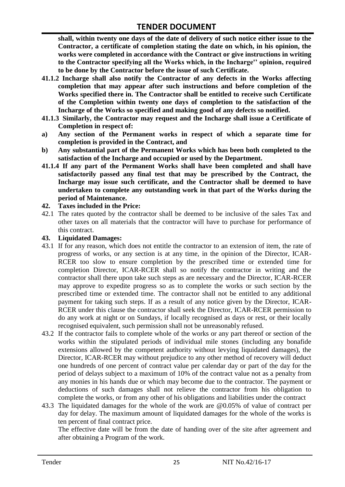**shall, within twenty one days of the date of delivery of such notice either issue to the Contractor, a certificate of completion stating the date on which, in his opinion, the works were completed in accordance with the Contract or give instructions in writing to the Contractor specifying all the Works which, in the Incharge'' opinion, required to be done by the Contractor before the issue of such Certificate.**

- **41.1.2 Incharge shall also notify the Contractor of any defects in the Works affecting completion that may appear after such instructions and before completion of the Works specified there in. The Contractor shall be entitled to receive such Certificate of the Completion within twenty one days of completion to the satisfaction of the Incharge of the Works so specified and making good of any defects so notified.**
- **41.1.3 Similarly, the Contractor may request and the Incharge shall issue a Certificate of Completion in respect of:**
- **a) Any section of the Permanent works in respect of which a separate time for completion is provided in the Contract, and**
- **b) Any substantial part of the Permanent Works which has been both completed to the satisfaction of the Incharge and occupied or used by the Department.**
- **41.1.4 If any part of the Permanent Works shall have been completed and shall have satisfactorily passed any final test that may be prescribed by the Contract, the Incharge may issue such certificate, and the Contractor shall be deemed to have undertaken to complete any outstanding work in that part of the Works during the period of Maintenance.**

#### **42. Taxes included in the Price:**

42.1 The rates quoted by the contractor shall be deemed to be inclusive of the sales Tax and other taxes on all materials that the contractor will have to purchase for performance of this contract.

#### **43. Liquidated Damages:**

- 43.1 If for any reason, which does not entitle the contractor to an extension of item, the rate of progress of works, or any section is at any time, in the opinion of the Director, ICAR-RCER too slow to ensure completion by the prescribed time or extended time for completion Director, ICAR-RCER shall so notify the contractor in writing and the contractor shall there upon take such steps as are necessary and the Director, ICAR-RCER may approve to expedite progress so as to complete the works or such section by the prescribed time or extended time. The contractor shall not be entitled to any additional payment for taking such steps. If as a result of any notice given by the Director, ICAR-RCER under this clause the contractor shall seek the Director, ICAR-RCER permission to do any work at night or on Sundays, if locally recognised as days or rest, or their locally recognised equivalent, such permission shall not be unreasonably refused.
- 43.2 If the contractor fails to complete whole of the works or any part thereof or section of the works within the stipulated periods of individual mile stones (including any bonafide extensions allowed by the competent authority without levying liquidated damages), the Director, ICAR-RCER may without prejudice to any other method of recovery will deduct one hundreds of one percent of contract value per calendar day or part of the day for the period of delays subject to a maximum of 10% of the contract value not as a penalty from any monies in his hands due or which may become due to the contractor. The payment or deductions of such damages shall not relieve the contractor from his obligation to complete the works, or from any other of his obligations and liabilities under the contract
- 43.3 The liquidated damages for the whole of the work are @0.05% of value of contract per day for delay. The maximum amount of liquidated damages for the whole of the works is ten percent of final contract price.

The effective date will be from the date of handing over of the site after agreement and after obtaining a Program of the work.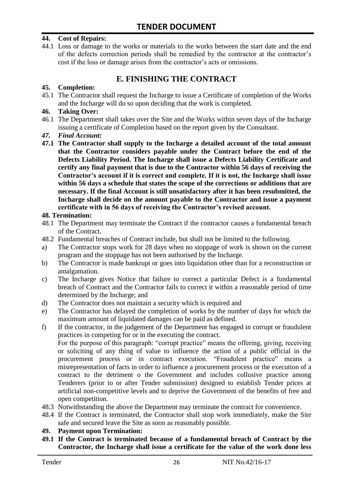#### **44. Cost of Repairs:**

44.1 Loss or damage to the works or materials to the works between the start date and the end of the defects correction periods shall be remedied by the contractor at the contractor"s cost if the loss or damage arises from the contractor's acts or omissions.

# **E. FINISHING THE CONTRACT**

#### **45. Completion:**

45.1 The Contractor shall request the Incharge to issue a Certificate of completion of the Works and the Incharge will do so upon deciding that the work is completed.

#### **46. Taking Over:**

- 46.1 The Department shall takes over the Site and the Works within seven days of the Incharge issuing a certificate of Completion based on the report given by the Consultant.
- *47. Final Account:*
- **47.1 The Contractor shall supply to the Incharge a detailed account of the total amount that the Contractor considers payable under the Contract before the end of the Defects Liability Period. The Incharge shall issue a Defects Liability Certificate and certify any final payment that is due to the Contractor within 56 days of receiving the Contractor's account if it is correct and complete. If it is not, the Incharge shall issue within 56 days a schedule that states the scope of the corrections or additions that are necessary. If the final Account is still unsatisfactory after it has been resubmitted, the Incharge shall decide on the amount payable to the Contractor and issue a payment certificate with in 56 days of receiving the Contractor's revised account.**

#### **48. Termination:**

- 48.1 The Department may terminate the Contract if the contractor causes a fundamental breach of the Contract.
- 48.2 Fundamental breaches of Contract include, but shall not be limited to the following.
- a) The Contractor stops work for 28 days when no stoppage of work is shown on the current program and the stoppage has not been authorised by the Incharge.
- b) The Contractor is made bankrupt or goes into liquidation other than for a reconstruction or amalgamation.
- c) The Incharge gives Notice that failure to correct a particular Defect is a fundamental breach of Contract and the Contractor fails to correct it within a reasonable period of time determined by the Incharge; and
- d) The Contractor does not maintain a security which is required and
- e) The Contractor has delayed the completion of works by the number of days for which the maximum amount of liquidated damages can be paid as defined.
- f) If the contractor, in the judgement of the Department has engaged in corrupt or fraudulent practices in competing for or in the executing the contract.

For the purpose of this paragraph: "corrupt practice" means the offering, giving, receiving or soliciting of any thing of value to influence the action of a public official in the procurement process or in contract execution. "Fraudulent practice" means a misrepresentation of facts in order to influence a procurement process or the execution of a contract to the detriment o the Government and includes collusive practice among Tenderers (prior to or after Tender submission) designed to establish Tender prices at artificial non-competitive levels and to deprive the Government of the benefits of free and open competition.

- 48.3 Notwithstanding the above the Department may terminate the contract for convenience.
- 48.4 If the Contract is terminated, the Contractor shall stop work immediately, make the Site safe and secured leave the Site as soon as reasonably possible.

#### **49. Payment upon Termination:**

**49.1 If the Contract is terminated because of a fundamental breach of Contract by the Contractor, the Incharge shall issue a certificate for the value of the work done less**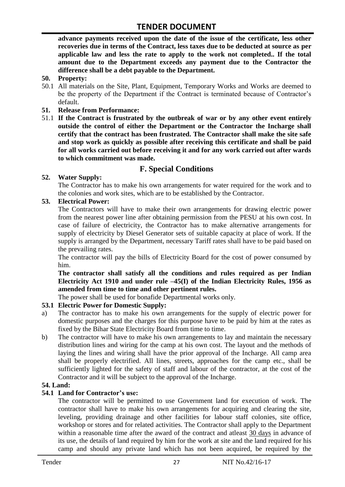**advance payments received upon the date of the issue of the certificate, less other recoveries due in terms of the Contract, less taxes due to be deducted at source as per applicable law and less the rate to apply to the work not completed.. If the total amount due to the Department exceeds any payment due to the Contractor the difference shall be a debt payable to the Department.**

- **50. Property:**
- 50.1 All materials on the Site, Plant, Equipment, Temporary Works and Works are deemed to be the property of the Department if the Contract is terminated because of Contractor's default.
- **51. Release from Performance:**
- 51.1 **If the Contract is frustrated by the outbreak of war or by any other event entirely outside the control of either the Department or the Contractor the Incharge shall certify that the contract has been frustrated. The Contractor shall make the site safe and stop work as quickly as possible after receiving this certificate and shall be paid for all works carried out before receiving it and for any work carried out after wards to which commitment was made.**

# **F. Special Conditions**

#### **52. Water Supply:**

The Contractor has to make his own arrangements for water required for the work and to the colonies and work sites, which are to be established by the Contractor.

#### **53. Electrical Power:**

The Contractors will have to make their own arrangements for drawing electric power from the nearest power line after obtaining permission from the PESU at his own cost. In case of failure of electricity, the Contractor has to make alternative arrangements for supply of electricity by Diesel Generator sets of suitable capacity at place of work. If the supply is arranged by the Department, necessary Tariff rates shall have to be paid based on the prevailing rates.

The contractor will pay the bills of Electricity Board for the cost of power consumed by him.

**The contractor shall satisfy all the conditions and rules required as per Indian Electricity Act 1910 and under rule –45(I) of the Indian Electricity Rules, 1956 as amended from time to time and other pertinent rules.**

The power shall be used for bonafide Departmental works only.

#### **53.1 Electric Power for Domestic Supply:**

- a) The contractor has to make his own arrangements for the supply of electric power for domestic purposes and the charges for this purpose have to be paid by him at the rates as fixed by the Bihar State Electricity Board from time to time.
- b) The contractor will have to make his own arrangements to lay and maintain the necessary distribution lines and wiring for the camp at his own cost. The layout and the methods of laying the lines and wiring shall have the prior approval of the Incharge. All camp area shall be properly electrified. All lines, streets, approaches for the camp etc., shall be sufficiently lighted for the safety of staff and labour of the contractor, at the cost of the Contractor and it will be subject to the approval of the Incharge.

#### **54. Land:**

#### **54.1 Land for Contractor's use:**

The contractor will be permitted to use Government land for execution of work. The contractor shall have to make his own arrangements for acquiring and clearing the site, leveling, providing drainage and other facilities for labour staff colonies, site office, workshop or stores and for related activities. The Contractor shall apply to the Department within a reasonable time after the award of the contract and atleast 30 days in advance of its use, the details of land required by him for the work at site and the land required for his camp and should any private land which has not been acquired, be required by the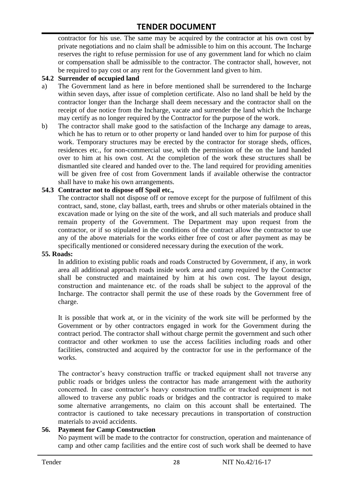contractor for his use. The same may be acquired by the contractor at his own cost by private negotiations and no claim shall be admissible to him on this account. The Incharge reserves the right to refuse permission for use of any government land for which no claim or compensation shall be admissible to the contractor. The contractor shall, however, not be required to pay cost or any rent for the Government land given to him.

#### **54.2 Surrender of occupied land**

- a) The Government land as here in before mentioned shall be surrendered to the Incharge within seven days, after issue of completion certificate. Also no land shall be held by the contractor longer than the Incharge shall deem necessary and the contractor shall on the receipt of due notice from the Incharge, vacate and surrender the land which the Incharge may certify as no longer required by the Contractor for the purpose of the work.
- b) The contractor shall make good to the satisfaction of the Incharge any damage to areas, which he has to return or to other property or land handed over to him for purpose of this work. Temporary structures may be erected by the contractor for storage sheds, offices, residences etc., for non-commercial use, with the permission of the on the land handed over to him at his own cost. At the completion of the work these structures shall be dismantled site cleared and handed over to the. The land required for providing amenities will be given free of cost from Government lands if available otherwise the contractor shall have to make his own arrangements.

#### **54.3 Contractor not to dispose off Spoil etc.,**

The contractor shall not dispose off or remove except for the purpose of fulfilment of this contract, sand, stone, clay ballast, earth, trees and shrubs or other materials obtained in the excavation made or lying on the site of the work, and all such materials and produce shall remain property of the Government. The Department may upon request from the contractor, or if so stipulated in the conditions of the contract allow the contractor to use any of the above materials for the works either free of cost or after payment as may be specifically mentioned or considered necessary during the execution of the work.

#### **55. Roads:**

In addition to existing public roads and roads Constructed by Government, if any, in work area all additional approach roads inside work area and camp required by the Contractor shall be constructed and maintained by him at his own cost. The layout design, construction and maintenance etc. of the roads shall be subject to the approval of the Incharge. The contractor shall permit the use of these roads by the Government free of charge.

It is possible that work at, or in the vicinity of the work site will be performed by the Government or by other contractors engaged in work for the Government during the contract period. The contractor shall without charge permit the government and such other contractor and other workmen to use the access facilities including roads and other facilities, constructed and acquired by the contractor for use in the performance of the works.

The contractor's heavy construction traffic or tracked equipment shall not traverse any public roads or bridges unless the contractor has made arrangement with the authority concerned. In case contractor"s heavy construction traffic or tracked equipment is not allowed to traverse any public roads or bridges and the contractor is required to make some alternative arrangements, no claim on this account shall be entertained. The contractor is cautioned to take necessary precautions in transportation of construction materials to avoid accidents.

#### **56. Payment for Camp Construction**

No payment will be made to the contractor for construction, operation and maintenance of camp and other camp facilities and the entire cost of such work shall be deemed to have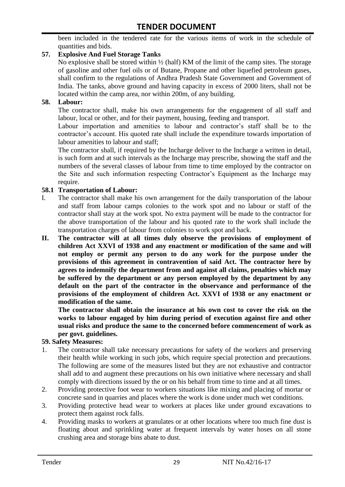been included in the tendered rate for the various items of work in the schedule of quantities and bids.

#### **57. Explosive And Fuel Storage Tanks**

No explosive shall be stored within ½ (half) KM of the limit of the camp sites. The storage of gasoline and other fuel oils or of Butane, Propane and other liquefied petroleum gases, shall confirm to the regulations of Andhra Pradesh State Government and Government of India. The tanks, above ground and having capacity in excess of 2000 liters, shall not be located within the camp area, nor within 200m, of any building.

#### **58. Labour:**

The contractor shall, make his own arrangements for the engagement of all staff and labour, local or other, and for their payment, housing, feeding and transport.

Labour importation and amenities to labour and contractor's staff shall be to the contractor's account. His quoted rate shall include the expenditure towards importation of labour amenities to labour and staff;

The contractor shall, if required by the Incharge deliver to the Incharge a written in detail, is such form and at such intervals as the Incharge may prescribe, showing the staff and the numbers of the several classes of labour from time to time employed by the contractor on the Site and such information respecting Contractor"s Equipment as the Incharge may require.

#### **58.1 Transportation of Labour:**

- I. The contractor shall make his own arrangement for the daily transportation of the labour and staff from labour camps colonies to the work spot and no labour or staff of the contractor shall stay at the work spot. No extra payment will be made to the contractor for the above transportation of the labour and his quoted rate to the work shall include the transportation charges of labour from colonies to work spot and back.
- **II. The contractor will at all times duly observe the provisions of employment of children Act XXVI of 1938 and any enactment or modification of the same and will not employ or permit any person to do any work for the purpose under the provisions of this agreement in contravention of said Act. The contractor here by agrees to indemnify the department from and against all claims, penalties which may be suffered by the department or any person employed by the department by any default on the part of the contractor in the observance and performance of the provisions of the employment of children Act. XXVI of 1938 or any enactment or modification of the same.**

**The contractor shall obtain the insurance at his own cost to cover the risk on the works to labour engaged by him during period of execution against fire and other usual risks and produce the same to the concerned before commencement of work as per govt. guidelines.**

#### **59. Safety Measures:**

- 1. The contractor shall take necessary precautions for safety of the workers and preserving their health while working in such jobs, which require special protection and precautions. The following are some of the measures listed but they are not exhaustive and contractor shall add to and augment these precautions on his own initiative where necessary and shall comply with directions issued by the or on his behalf from time to time and at all times.
- 2. Providing protective foot wear to workers situations like mixing and placing of mortar or concrete sand in quarries and places where the work is done under much wet conditions.
- 3. Providing protective head wear to workers at places like under ground excavations to protect them against rock falls.
- 4. Providing masks to workers at granulates or at other locations where too much fine dust is floating about and sprinkling water at frequent intervals by water hoses on all stone crushing area and storage bins abate to dust.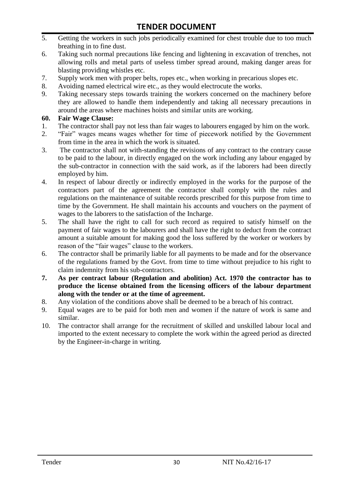- 5. Getting the workers in such jobs periodically examined for chest trouble due to too much breathing in to fine dust.
- 6. Taking such normal precautions like fencing and lightening in excavation of trenches, not allowing rolls and metal parts of useless timber spread around, making danger areas for blasting providing whistles etc.
- 7. Supply work men with proper belts, ropes etc., when working in precarious slopes etc.
- 8. Avoiding named electrical wire etc., as they would electrocute the works.
- 9. Taking necessary steps towards training the workers concerned on the machinery before they are allowed to handle them independently and taking all necessary precautions in around the areas where machines hoists and similar units are working.

#### **60. Fair Wage Clause:**

- 1. The contractor shall pay not less than fair wages to labourers engaged by him on the work.
- 2. "Fair" wages means wages whether for time of piecework notified by the Government from time in the area in which the work is situated.
- 3. The contractor shall not with-standing the revisions of any contract to the contrary cause to be paid to the labour, in directly engaged on the work including any labour engaged by the sub-contractor in connection with the said work, as if the laborers had been directly employed by him.
- 4. In respect of labour directly or indirectly employed in the works for the purpose of the contractors part of the agreement the contractor shall comply with the rules and regulations on the maintenance of suitable records prescribed for this purpose from time to time by the Government. He shall maintain his accounts and vouchers on the payment of wages to the laborers to the satisfaction of the Incharge.
- 5. The shall have the right to call for such record as required to satisfy himself on the payment of fair wages to the labourers and shall have the right to deduct from the contract amount a suitable amount for making good the loss suffered by the worker or workers by reason of the "fair wages" clause to the workers.
- 6. The contractor shall be primarily liable for all payments to be made and for the observance of the regulations framed by the Govt. from time to time without prejudice to his right to claim indemnity from his sub-contractors.
- **7. As per contract labour (Regulation and abolition) Act. 1970 the contractor has to produce the license obtained from the licensing officers of the labour department along with the tender or at the time of agreement.**
- 8. Any violation of the conditions above shall be deemed to be a breach of his contract.
- 9. Equal wages are to be paid for both men and women if the nature of work is same and similar.
- 10. The contractor shall arrange for the recruitment of skilled and unskilled labour local and imported to the extent necessary to complete the work within the agreed period as directed by the Engineer-in-charge in writing.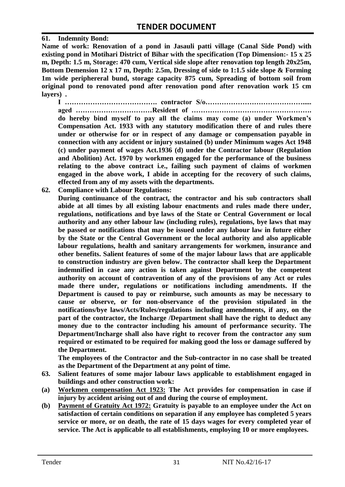#### **61. Indemnity Bond:**

**Name of work: Renovation of a pond in Jasauli patti village (Canal Side Pond) with existing pond in Motihari District of Bihar with the specification (Top Dimension:- 15 x 25 m, Depth: 1.5 m, Storage: 470 cum, Vertical side slope after renovation top length 20x25m, Bottom Demension 12 x 17 m, Depth: 2.5m, Dressing of side to 1:1.5 side slope & Forming 1m wide periphereral bund, storage capacity 875 cum, Spreading of bottom soil from original pond to renovated pond after renovation pond after renovation work 15 cm layers) .**

**I …………………………………. contractor S/o……………………………………..... aged ……………………………Resident of ……………………………………………. do hereby bind myself to pay all the claims may come (a) under Workmen's Compensation Act. 1933 with any statutory modification there of and rules there under or otherwise for or in respect of any damage or compensation payable in connection with any accident or injury sustained (b) under Minimum wages Act 1948 (c) under payment of wages Act.1936 (d) under the Contractor labour (Regulation and Abolition) Act. 1970 by workmen engaged for the performance of the business relating to the above contract i.e., failing such payment of claims of workmen engaged in the above work, I abide in accepting for the recovery of such claims, effected from any of my assets with the departments.**

- **62. Compliance with Labour Regulations:**
	- **During continuance of the contract, the contractor and his sub contractors shall abide at all times by all existing labour enactments and rules made there under, regulations, notifications and bye laws of the State or Central Government or local authority and any other labour law (including rules), regulations, bye laws that may be passed or notifications that may be issued under any labour law in future either by the State or the Central Government or the local authority and also applicable labour regulations, health and sanitary arrangements for workmen, insurance and other benefits. Salient features of some of the major labour laws that are applicable to construction industry are given below. The contractor shall keep the Department indemnified in case any action is taken against Department by the competent authority on account of contravention of any of the provisions of any Act or rules made there under, regulations or notifications including amendments. If the Department is caused to pay or reimburse, such amounts as may be necessary to cause or observe, or for non-observance of the provision stipulated in the notifications/bye laws/Acts/Rules/regulations including amendments, if any, on the part of the contractor, the Incharge /Department shall have the right to deduct any money due to the contractor including his amount of performance security. The Department/Incharge shall also have right to recover from the contractor any sum required or estimated to be required for making good the loss or damage suffered by the Department.**

**The employees of the Contractor and the Sub-contractor in no case shall be treated as the Department of the Department at any point of time.**

- **63. Salient features of some major labour laws applicable to establishment engaged in buildings and other construction work:**
- **(a) Workmen compensation Act 1923: The Act provides for compensation in case if injury by accident arising out of and during the course of employment.**
- **(b) Payment of Gratuity Act 1972: Gratuity is payable to an employee under the Act on satisfaction of certain conditions on separation if any employee has completed 5 years service or more, or on death, the rate of 15 days wages for every completed year of service. The Act is applicable to all establishments, employing 10 or more employees.**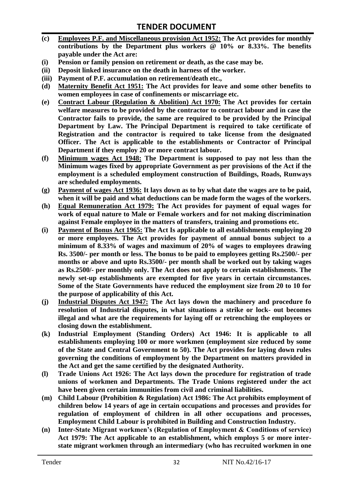- **(c) Employees P.F. and Miscellaneous provision Act 1952: The Act provides for monthly contributions by the Department plus workers @ 10% or 8.33%. The benefits payable under the Act are:**
- **(i) Pension or family pension on retirement or death, as the case may be.**
- **(ii) Deposit linked insurance on the death in harness of the worker.**
- **(iii) Payment of P.F. accumulation on retirement/death etc.,**
- **(d) Maternity Benefit Act 1951: The Act provides for leave and some other benefits to women employees in case of confinements or miscarriage etc.**
- **(e) Contract Labour (Regulation & Abolition) Act 1970: The Act provides for certain welfare measures to be provided by the contractor to contract labour and in case the Contractor fails to provide, the same are required to be provided by the Principal Department by Law. The Principal Department is required to take certificate of Registration and the contractor is required to take license from the designated Officer. The Act is applicable to the establishments or Contractor of Principal Department if they employ 20 or more contract labour.**
- **(f) Minimum wages Act 1948: The Department is supposed to pay not less than the Minimum wages fixed by appropriate Government as per provisions of the Act if the employment is a scheduled employment construction of Buildings, Roads, Runways are scheduled employments.**
- **(g) Payment of wages Act 1936: It lays down as to by what date the wages are to be paid, when it will be paid and what deductions can be made form the wages of the workers.**
- **(h) Equal Remuneration Act 1979: The Act provides for payment of equal wages for work of equal nature to Male or Female workers and for not making discrimination against Female employee in the matters of transfers, training and promotions etc.**
- **(i) Payment of Bonus Act 1965: The Act Is applicable to all establishments employing 20 or more employees. The Act provides for payment of annual bonus subject to a minimum of 8.33% of wages and maximum of 20% of wages to employees drawing Rs. 3500/- per month or less. The bonus to be paid to employees getting Rs.2500/- per months or above and upto Rs.3500/- per month shall be worked out by taking wages as Rs.2500/- per monthly only. The Act does not apply to certain establishments. The newly set-up establishments are exempted for five years in certain circumstances. Some of the State Governments have reduced the employment size from 20 to 10 for the purpose of applicability of this Act.**
- **(j) Industrial Disputes Act 1947: The Act lays down the machinery and procedure fo resolution of Industrial disputes, in what situations a strike or lock- out becomes illegal and what are the requirements for laying off or retrenching the employees or closing down the establishment.**
- **(k) Industrial Employment (Standing Orders) Act 1946: It is applicable to all establishments employing 100 or more workmen (employment size reduced by some of the State and Central Government to 50). The Act provides for laying down rules governing the conditions of employment by the Department on matters provided in the Act and get the same certified by the designated Authority.**
- **(l) Trade Unions Act 1926: The Act lays down the procedure for registration of trade unions of workmen and Departments. The Trade Unions registered under the act have been given certain immunities from civil and criminal liabilities.**
- **(m) Child Labour (Prohibition & Regulation) Act 1986: The Act prohibits employment of children below 14 years of age in certain occupations and processes and provides for regulation of employment of children in all other occupations and processes, Employment Child Labour is prohibited in Building and Construction Industry.**
- **(n) Inter-State Migrant workmen's (Regulation of Employment & Conditions of service) Act 1979: The Act applicable to an establishment, which employs 5 or more interstate migrant workmen through an intermediary (who has recruited workmen in one**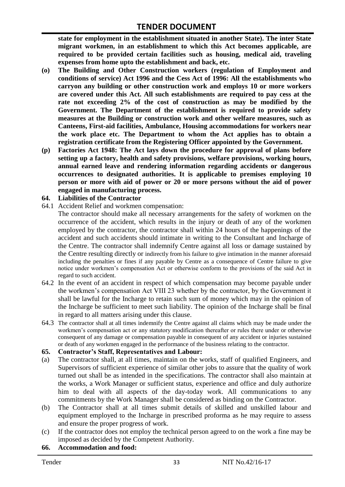**state for employment in the establishment situated in another State). The inter State migrant workmen, in an establishment to which this Act becomes applicable, are required to be provided certain facilities such as housing, medical aid, traveling expenses from home upto the establishment and back, etc.**

- **(o) The Building and Other Construction workers (regulation of Employment and conditions of service) Act 1996 and the Cess Act of 1996: All the establishments who carryon any building or other construction work and employs 10 or more workers are covered under this Act. All such establishments are required to pay cess at the rate not exceeding 2% of the cost of construction as may be modified by the Government. The Department of the establishment is required to provide safety measures at the Building or construction work and other welfare measures, such as Canteens, First-aid facilities, Ambulance, Housing accommodations for workers near the work place etc. The Department to whom the Act applies has to obtain a registration certificate from the Registering Officer appointed by the Government.**
- **(p) Factories Act 1948: The Act lays down the procedure for approval of plans before setting up a factory, health and safety provisions, welfare provisions, working hours, annual earned leave and rendering information regarding accidents or dangerous occurrences to designated authorities. It is applicable to premises employing 10 person or more with aid of power or 20 or more persons without the aid of power engaged in manufacturing process.**

#### **64. Liabilities of the Contractor**

- 64.1 Accident Relief and workmen compensation:
	- The contractor should make all necessary arrangements for the safety of workmen on the occurrence of the accident, which results in the injury or death of any of the workmen employed by the contractor, the contractor shall within 24 hours of the happenings of the accident and such accidents should intimate in writing to the Consultant and Incharge of the Centre. The contractor shall indemnify Centre against all loss or damage sustained by the Centre resulting directly or indirectly from his failure to give intimation in the manner aforesaid including the penalties or fines if any payable by Centre as a consequence of Centre failure to give notice under workmen"s compensation Act or otherwise conform to the provisions of the said Act in regard to such accident.
- 64.2 In the event of an accident in respect of which compensation may become payable under the workmen"s compensation Act VIII 23 whether by the contractor, by the Government it shall be lawful for the Incharge to retain such sum of money which may in the opinion of the Incharge be sufficient to meet such liability. The opinion of the Incharge shall be final in regard to all matters arising under this clause.
- 64.3 The contractor shall at all times indemnify the Centre against all claims which may be made under the workmen"s compensation act or any statutory modification thereafter or rules there under or otherwise consequent of any damage or compensation payable in consequent of any accident or injuries sustained or death of any workmen engaged in the performance of the business relating to the contractor.

#### **65. Contractor's Staff, Representatives and Labour:**

- (a) The contractor shall, at all times, maintain on the works, staff of qualified Engineers, and Supervisors of sufficient experience of similar other jobs to assure that the quality of work turned out shall be as intended in the specifications. The contractor shall also maintain at the works, a Work Manager or sufficient status, experience and office and duly authorize him to deal with all aspects of the day-today work. All communications to any commitments by the Work Manager shall be considered as binding on the Contractor.
- (b) The Contractor shall at all times submit details of skilled and unskilled labour and equipment employed to the Incharge in prescribed proforma as he may require to assess and ensure the proper progress of work.
- (c) If the contractor does not employ the technical person agreed to on the work a fine may be imposed as decided by the Competent Authority.

#### **66. Accommodation and food:**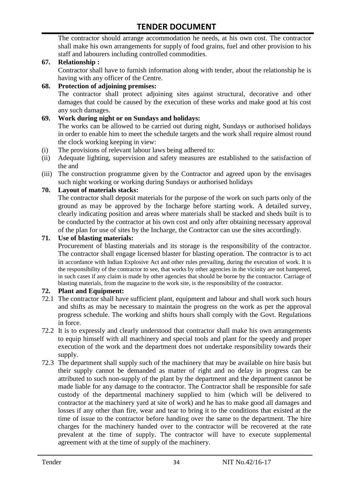The contractor should arrange accommodation he needs, at his own cost. The contractor shall make his own arrangements for supply of food grains, fuel and other provision to his staff and labourers including controlled commodities.

#### **67. Relationship :**

Contractor shall have to furnish information along with tender, about the relationship he is having with any officer of the Centre.

#### **68. Protection of adjoining premises:**

The contractor shall protect adjoining sites against structural, decorative and other damages that could be caused by the execution of these works and make good at his cost any such damages.

#### **69. Work during night or on Sundays and holidays:**

The works can be allowed to be carried out during night, Sundays or authorised holidays in order to enable him to meet the schedule targets and the work shall require almost round the clock working keeping in view:

- (i) The provisions of relevant labour laws being adhered to:
- (ii) Adequate lighting, supervision and safety measures are established to the satisfaction of the and
- (iii) The construction programme given by the Contractor and agreed upon by the envisages such night working or working during Sundays or authorised holidays

#### **70. Layout of materials stacks:**

The contractor shall deposit materials for the purpose of the work on such parts only of the ground as may be approved by the Incharge before starting work. A detailed survey, clearly indicating position and areas where materials shall be stacked and sheds built is to be conducted by the contractor at his own cost and only after obtaining necessary approval of the plan for use of sites by the Incharge, the Contractor can use the sites accordingly.

#### **71. Use of blasting materials:**

Procurement of blasting materials and its storage is the responsibility of the contractor. The contractor shall engage licensed blaster for blasting operation. The contractor is to act in accordance with Indian Explosive Act and other rules prevailing, during the execution of work. It is the responsibility of the contractor to see, that works by other agencies in the vicinity are not hampered, in such cases if any claim is made by other agencies that should be borne by the contractor. Carriage of blasting materials, from the magazine to the work site, is the responsibility of the contractor.

#### **72. Plant and Equipment:**

- 72.1 The contractor shall have sufficient plant, equipment and labour and shall work such hours and shifts as may be necessary to maintain the progress on the work as per the approval progress schedule. The working and shifts hours shall comply with the Govt. Regulations in force.
- 72.2 It is to expressly and clearly understood that contractor shall make his own arrangements to equip himself with all machinery and special tools and plant for the speedy and proper execution of the work and the department does not undertake responsibility towards their supply.
- 72.3 The department shall supply such of the machinery that may be available on hire basis but their supply cannot be demanded as matter of right and no delay in progress can be attributed to such non-supply of the plant by the department and the department cannot be made liable for any damage to the contractor. The Contractor shall be responsible for safe custody of the departmental machinery supplied to him (which will be delivered to contractor at the machinery yard at site of work) and he has to make good all damages and losses if any other than fire, wear and tear to bring it to the conditions that existed at the time of issue to the contractor before handing over the same to the department. The hire charges for the machinery handed over to the contractor will be recovered at the rate prevalent at the time of supply. The contractor will have to execute supplemental agreement with at the time of supply of the machinery.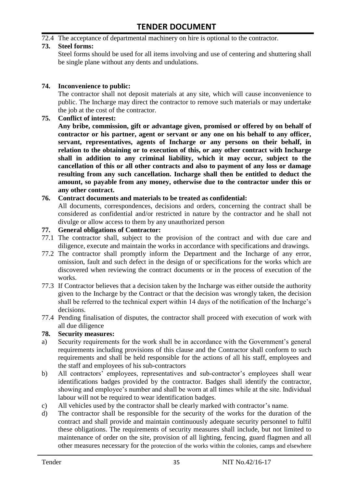#### 72.4 The acceptance of departmental machinery on hire is optional to the contractor.

#### **73. Steel forms:**

Steel forms should be used for all items involving and use of centering and shuttering shall be single plane without any dents and undulations.

#### **74. Inconvenience to public:**

The contractor shall not deposit materials at any site, which will cause inconvenience to public. The Incharge may direct the contractor to remove such materials or may undertake the job at the cost of the contractor.

#### **75. Conflict of interest:**

**Any bribe, commission, gift or advantage given, promised or offered by on behalf of contractor or his partner, agent or servant or any one on his behalf to any officer, servant, representatives, agents of Incharge or any persons on their behalf, in relation to the obtaining or to execution of this, or any other contract with Incharge shall in addition to any criminal liability, which it may occur, subject to the cancellation of this or all other contracts and also to payment of any loss or damage resulting from any such cancellation. Incharge shall then be entitled to deduct the amount, so payable from any money, otherwise due to the contractor under this or any other contract.**

#### **76. Contract documents and materials to be treated as confidential:**

All documents, correspondences, decisions and orders, concerning the contract shall be considered as confidential and/or restricted in nature by the contractor and he shall not divulge or allow access to them by any unauthorized person

#### **77. General obligations of Contractor:**

- 77.1 The contractor shall, subject to the provision of the contract and with due care and diligence, execute and maintain the works in accordance with specifications and drawings.
- 77.2 The contractor shall promptly inform the Department and the Incharge of any error, omission, fault and such defect in the design of or specifications for the works which are discovered when reviewing the contract documents or in the process of execution of the works.
- 77.3 If Contractor believes that a decision taken by the Incharge was either outside the authority given to the Incharge by the Contract or that the decision was wrongly taken, the decision shall be referred to the technical expert within 14 days of the notification of the Incharge's decisions.
- 77.4 Pending finalisation of disputes, the contractor shall proceed with execution of work with all due diligence

#### **78. Security measures:**

- a) Security requirements for the work shall be in accordance with the Government's general requirements including provisions of this clause and the Contractor shall conform to such requirements and shall be held responsible for the actions of all his staff, employees and the staff and employees of his sub-contractors
- b) All contractors' employees, representatives and sub-contractor's employees shall wear identifications badges provided by the contractor. Badges shall identify the contractor, showing and employee's number and shall be worn at all times while at the site. Individual labour will not be required to wear identification badges.
- c) All vehicles used by the contractor shall be clearly marked with contractor"s name.
- d) The contractor shall be responsible for the security of the works for the duration of the contract and shall provide and maintain continuously adequate security personnel to fulfil these obligations. The requirements of security measures shall include, but not limited to maintenance of order on the site, provision of all lighting, fencing, guard flagmen and all other measures necessary for the protection of the works within the colonies, camps and elsewhere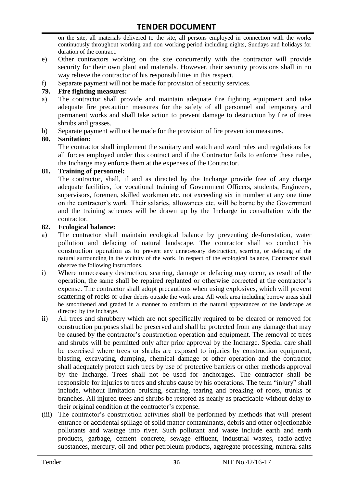on the site, all materials delivered to the site, all persons employed in connection with the works continuously throughout working and non working period including nights, Sundays and holidays for duration of the contract.

- e) Other contractors working on the site concurrently with the contractor will provide security for their own plant and materials. However, their security provisions shall in no way relieve the contractor of his responsibilities in this respect.
- f) Separate payment will not be made for provision of security services.

#### **79. Fire fighting measures:**

- a) The contractor shall provide and maintain adequate fire fighting equipment and take adequate fire precaution measures for the safety of all personnel and temporary and permanent works and shall take action to prevent damage to destruction by fire of trees shrubs and grasses.
- b) Separate payment will not be made for the provision of fire prevention measures.

#### **80. Sanitation:**

The contractor shall implement the sanitary and watch and ward rules and regulations for all forces employed under this contract and if the Contractor fails to enforce these rules, the Incharge may enforce them at the expenses of the Contractor.

#### **81. Training of personnel:**

The contractor, shall, if and as directed by the Incharge provide free of any charge adequate facilities, for vocational training of Government Officers, students, Engineers, supervisors, foremen, skilled workmen etc. not exceeding six in number at any one time on the contractor"s work. Their salaries, allowances etc. will be borne by the Government and the training schemes will be drawn up by the Incharge in consultation with the contractor.

#### **82. Ecological balance:**

- a) The contractor shall maintain ecological balance by preventing de-forestation, water pollution and defacing of natural landscape. The contractor shall so conduct his construction operation as to prevent any unnecessary destruction, scarring, or defacing of the natural surrounding in the vicinity of the work. In respect of the ecological balance, Contractor shall observe the following instructions.
- i) Where unnecessary destruction, scarring, damage or defacing may occur, as result of the operation, the same shall be repaired replanted or otherwise corrected at the contractor"s expense. The contractor shall adopt precautions when using explosives, which will prevent scattering of rocks or other debris outside the work area. All work area including borrow areas shall be smoothened and graded in a manner to conform to the natural appearances of the landscape as directed by the Incharge.
- ii) All trees and shrubbery which are not specifically required to be cleared or removed for construction purposes shall be preserved and shall be protected from any damage that may be caused by the contractor"s construction operation and equipment. The removal of trees and shrubs will be permitted only after prior approval by the Incharge. Special care shall be exercised where trees or shrubs are exposed to injuries by construction equipment, blasting, excavating, dumping, chemical damage or other operation and the contractor shall adequately protect such trees by use of protective barriers or other methods approval by the Incharge. Trees shall not be used for anchorages. The contractor shall be responsible for injuries to trees and shrubs cause by his operations. The term "injury" shall include, without limitation bruising, scarring, tearing and breaking of roots, trunks or branches. All injured trees and shrubs be restored as nearly as practicable without delay to their original condition at the contractor's expense.
- (iii) The contractor"s construction activities shall be performed by methods that will present entrance or accidental spillage of solid matter contaminants, debris and other objectionable pollutants and wastage into river. Such pollutant and waste include earth and earth products, garbage, cement concrete, sewage effluent, industrial wastes, radio-active substances, mercury, oil and other petroleum products, aggregate processing, mineral salts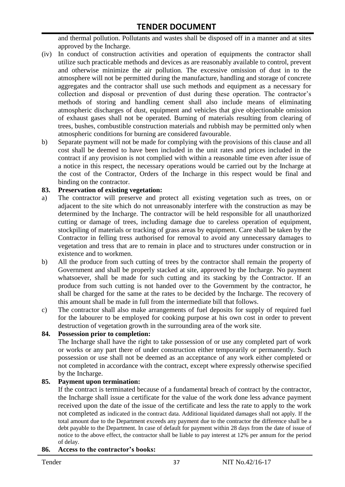and thermal pollution. Pollutants and wastes shall be disposed off in a manner and at sites approved by the Incharge.

- (iv) In conduct of construction activities and operation of equipments the contractor shall utilize such practicable methods and devices as are reasonably available to control, prevent and otherwise minimize the air pollution. The excessive omission of dust in to the atmosphere will not be permitted during the manufacture, handling and storage of concrete aggregates and the contractor shall use such methods and equipment as a necessary for collection and disposal or prevention of dust during these operation. The contractor's methods of storing and handling cement shall also include means of eliminating atmospheric discharges of dust, equipment and vehicles that give objectionable omission of exhaust gases shall not be operated. Burning of materials resulting from clearing of trees, bushes, combustible construction materials and rubbish may be permitted only when atmospheric conditions for burning are considered favourable.
- b) Separate payment will not be made for complying with the provisions of this clause and all cost shall be deemed to have been included in the unit rates and prices included in the contract if any provision is not complied with within a reasonable time even after issue of a notice in this respect, the necessary operations would be carried out by the Incharge at the cost of the Contractor, Orders of the Incharge in this respect would be final and binding on the contractor.

#### **83. Preservation of existing vegetation:**

- a) The contractor will preserve and protect all existing vegetation such as trees, on or adjacent to the site which do not unreasonably interfere with the construction as may be determined by the Incharge. The contractor will be held responsible for all unauthorized cutting or damage of trees, including damage due to careless operation of equipment, stockpiling of materials or tracking of grass areas by equipment. Care shall be taken by the Contractor in felling tress authorised for removal to avoid any unnecessary damages to vegetation and tress that are to remain in place and to structures under construction or in existence and to workmen.
- b) All the produce from such cutting of trees by the contractor shall remain the property of Government and shall be properly stacked at site, approved by the Incharge. No payment whatsoever, shall be made for such cutting and its stacking by the Contractor. If an produce from such cutting is not handed over to the Government by the contractor, he shall be charged for the same at the rates to be decided by the Incharge. The recovery of this amount shall be made in full from the intermediate bill that follows.
- c) The contractor shall also make arrangements of fuel deposits for supply of required fuel for the labourer to be employed for cooking purpose at his own cost in order to prevent destruction of vegetation growth in the surrounding area of the work site.

#### **84. Possession prior to completion:**

The Incharge shall have the right to take possession of or use any completed part of work or works or any part there of under construction either temporarily or permanently. Such possession or use shall not be deemed as an acceptance of any work either completed or not completed in accordance with the contract, except where expressly otherwise specified by the Incharge.

#### **85. Payment upon termination:**

If the contract is terminated because of a fundamental breach of contract by the contractor, the Incharge shall issue a certificate for the value of the work done less advance payment received upon the date of the issue of the certificate and less the rate to apply to the work not completed as indicated in the contract data. Additional liquidated damages shall not apply. If the total amount due to the Department exceeds any payment due to the contractor the difference shall be a debt payable to the Department. In case of default for payment within 28 days from the date of issue of notice to the above effect, the contractor shall be liable to pay interest at 12% per annum for the period of delay.

#### **86. Access to the contractor's books:**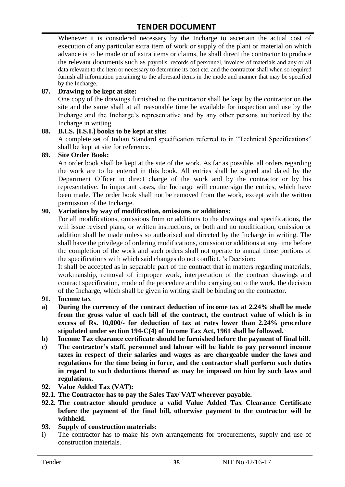Whenever it is considered necessary by the Incharge to ascertain the actual cost of execution of any particular extra item of work or supply of the plant or material on which advance is to be made or of extra items or claims, he shall direct the contractor to produce the relevant documents such as payrolls, records of personnel, invoices of materials and any or all data relevant to the item or necessary to determine its cost etc. and the contractor shall when so required furnish all information pertaining to the aforesaid items in the mode and manner that may be specified by the Incharge.

#### **87. Drawing to be kept at site:**

One copy of the drawings furnished to the contractor shall be kept by the contractor on the site and the same shall at all reasonable time be available for inspection and use by the Incharge and the Incharge"s representative and by any other persons authorized by the Incharge in writing.

#### **88. B.I.S. [I.S.I.] books to be kept at site:**

A complete set of Indian Standard specification referred to in "Technical Specifications" shall be kept at site for reference.

#### **89. Site Order Book:**

An order book shall be kept at the site of the work. As far as possible, all orders regarding the work are to be entered in this book. All entries shall be signed and dated by the Department Officer in direct charge of the work and by the contractor or by his representative. In important cases, the Incharge will countersign the entries, which have been made. The order book shall not be removed from the work, except with the written permission of the Incharge.

#### **90. Variations by way of modification, omissions or additions:**

For all modifications, omissions from or additions to the drawings and specifications, the will issue revised plans, or written instructions, or both and no modification, omission or addition shall be made unless so authorised and directed by the Incharge in writing. The shall have the privilege of ordering modifications, omission or additions at any time before the completion of the work and such orders shall not operate to annual those portions of the specifications with which said changes do not conflict. "s Decision:

It shall be accepted as in separable part of the contract that in matters regarding materials, workmanship, removal of improper work, interpretation of the contract drawings and contract specification, mode of the procedure and the carrying out o the work, the decision of the Incharge, which shall be given in writing shall be binding on the contractor.

#### **91. Income tax**

- **a) During the currency of the contract deduction of income tax at 2.24% shall be made from the gross value of each bill of the contract, the contract value of which is in excess of Rs. 10,000/- for deduction of tax at rates lower than 2.24% procedure stipulated under section 194-C(4) of Income Tax Act, 1961 shall be followed.**
- **b) Income Tax clearance certificate should be furnished before the payment of final bill.**
- **c) The contractor's staff, personnel and labour will be liable to pay personnel income taxes in respect of their salaries and wages as are chargeable under the laws and regulations for the time being in force, and the contractor shall perform such duties in regard to such deductions thereof as may be imposed on him by such laws and regulations.**
- **92. Value Added Tax (VAT):**
- **92.1. The Contractor has to pay the Sales Tax/ VAT wherever payable.**
- **92.2. The contractor should produce a valid Value Added Tax Clearance Certificate before the payment of the final bill, otherwise payment to the contractor will be withheld.**
- **93. Supply of construction materials:**
- i) The contractor has to make his own arrangements for procurements, supply and use of construction materials.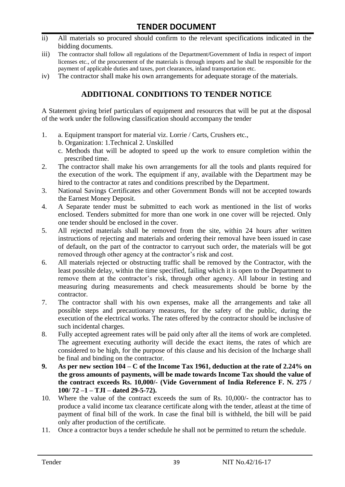- ii) All materials so procured should confirm to the relevant specifications indicated in the bidding documents.
- iii) The contractor shall follow all regulations of the Department/Government of India in respect of import licenses etc., of the procurement of the materials is through imports and he shall be responsible for the payment of applicable duties and taxes, port clearances, inland transportation etc.
- iv) The contractor shall make his own arrangements for adequate storage of the materials.

# **ADDITIONAL CONDITIONS TO TENDER NOTICE**

A Statement giving brief particulars of equipment and resources that will be put at the disposal of the work under the following classification should accompany the tender

- 1. a. Equipment transport for material viz. Lorrie / Carts, Crushers etc.,
	- b. Organization: 1.Technical 2. Unskilled
	- c. Methods that will be adopted to speed up the work to ensure completion within the prescribed time.
- 2. The contractor shall make his own arrangements for all the tools and plants required for the execution of the work. The equipment if any, available with the Department may be hired to the contractor at rates and conditions prescribed by the Department.
- 3. National Savings Certificates and other Government Bonds will not be accepted towards the Earnest Money Deposit.
- 4. A Separate tender must be submitted to each work as mentioned in the list of works enclosed. Tenders submitted for more than one work in one cover will be rejected. Only one tender should be enclosed in the cover.
- 5. All rejected materials shall be removed from the site, within 24 hours after written instructions of rejecting and materials and ordering their removal have been issued in case of default, on the part of the contractor to carryout such order, the materials will be got removed through other agency at the contractor's risk and cost.
- 6. All materials rejected or obstructing traffic shall be removed by the Contractor, with the least possible delay, within the time specified, failing which it is open to the Department to remove them at the contractor's risk, through other agency. All labour in testing and measuring during measurements and check measurements should be borne by the contractor.
- 7. The contractor shall with his own expenses, make all the arrangements and take all possible steps and precautionary measures, for the safety of the public, during the execution of the electrical works. The rates offered by the contractor should be inclusive of such incidental charges.
- 8. Fully accepted agreement rates will be paid only after all the items of work are completed. The agreement executing authority will decide the exact items, the rates of which are considered to be high, for the purpose of this clause and his decision of the Incharge shall be final and binding on the contractor.
- **9. As per new section 104 – C of the Income Tax 1961, deduction at the rate of 2.24% on the gross amounts of payments, will be made towards Income Tax should the value of the contract exceeds Rs. 10,000/- (Vide Government of India Reference F. N. 275 / 100/ 72 –1 – TJI – dated 29-5-72).**
- 10. Where the value of the contract exceeds the sum of Rs. 10,000/- the contractor has to produce a valid income tax clearance certificate along with the tender, atleast at the time of payment of final bill of the work. In case the final bill is withheld, the bill will be paid only after production of the certificate.
- 11. Once a contractor buys a tender schedule he shall not be permitted to return the schedule.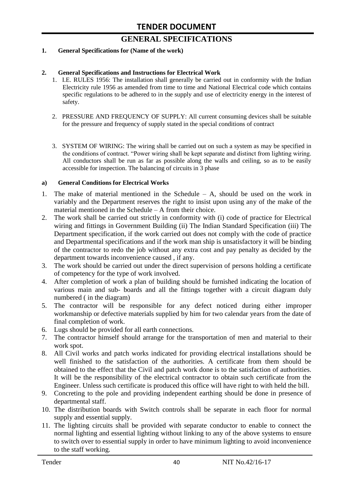# **GENERAL SPECIFICATIONS**

#### **1. General Specifications for (Name of the work)**

#### **2. General Specifications and Instructions for Electrical Work**

- 1. I.E. RULES 1956: The installation shall generally be carried out in conformity with the Indian Electricity rule 1956 as amended from time to time and National Electrical code which contains specific regulations to be adhered to in the supply and use of electricity energy in the interest of safety.
- 2. PRESSURE AND FREQUENCY OF SUPPLY: All current consuming devices shall be suitable for the pressure and frequency of supply stated in the special conditions of contract
- 3. SYSTEM OF WIRING: The wiring shall be carried out on such a system as may be specified in the conditions of contract. "Power wiring shall be kept separate and distinct from lighting wiring. All conductors shall be run as far as possible along the walls and ceiling, so as to be easily accessible for inspection. The balancing of circuits in 3 phase

#### **a) General Conditions for Electrical Works**

- 1. The make of material mentioned in the Schedule A, should be used on the work in variably and the Department reserves the right to insist upon using any of the make of the material mentioned in the Schedule – A from their choice.
- 2. The work shall be carried out strictly in conformity with (i) code of practice for Electrical wiring and fittings in Government Building (ii) The Indian Standard Specification (iii) The Department specification, if the work carried out does not comply with the code of practice and Departmental specifications and if the work man ship is unsatisfactory it will be binding of the contractor to redo the job without any extra cost and pay penalty as decided by the department towards inconvenience caused , if any.
- 3. The work should be carried out under the direct supervision of persons holding a certificate of competency for the type of work involved.
- 4. After completion of work a plan of building should be furnished indicating the location of various main and sub- boards and all the fittings together with a circuit diagram duly numbered ( in the diagram)
- 5. The contractor will be responsible for any defect noticed during either improper workmanship or defective materials supplied by him for two calendar years from the date of final completion of work.
- 6. Lugs should be provided for all earth connections.
- 7. The contractor himself should arrange for the transportation of men and material to their work spot.
- 8. All Civil works and patch works indicated for providing electrical installations should be well finished to the satisfaction of the authorities. A certificate from them should be obtained to the effect that the Civil and patch work done is to the satisfaction of authorities. It will be the responsibility of the electrical contractor to obtain such certificate from the Engineer. Unless such certificate is produced this office will have right to with held the bill.
- 9. Concreting to the pole and providing independent earthing should be done in presence of departmental staff.
- 10. The distribution boards with Switch controls shall be separate in each floor for normal supply and essential supply.
- 11. The lighting circuits shall be provided with separate conductor to enable to connect the normal lighting and essential lighting without linking to any of the above systems to ensure to switch over to essential supply in order to have minimum lighting to avoid inconvenience to the staff working.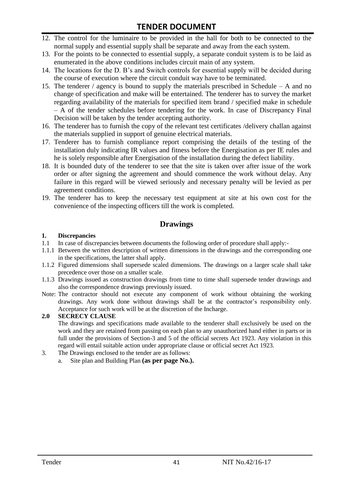- 12. The control for the luminaire to be provided in the hall for both to be connected to the normal supply and essential supply shall be separate and away from the each system.
- 13. For the points to be connected to essential supply, a separate conduit system is to be laid as enumerated in the above conditions includes circuit main of any system.
- 14. The locations for the D. B"s and Switch controls for essential supply will be decided during the course of execution where the circuit conduit way have to be terminated.
- 15. The tenderer / agency is bound to supply the materials prescribed in Schedule A and no change of specification and make will be entertained. The tenderer has to survey the market regarding availability of the materials for specified item brand / specified make in schedule – A of the tender schedules before tendering for the work. In case of Discrepancy Final Decision will be taken by the tender accepting authority.
- 16. The tenderer has to furnish the copy of the relevant test certificates /delivery challan against the materials supplied in support of genuine electrical materials.
- 17. Tenderer has to furnish compliance report comprising the details of the testing of the installation duly indicating IR values and fitness before the Energisation as per IE rules and he is solely responsible after Energisation of the installation during the defect liability.
- 18. It is bounded duty of the tenderer to see that the site is taken over after issue of the work order or after signing the agreement and should commence the work without delay. Any failure in this regard will be viewed seriously and necessary penalty will be levied as per agreement conditions.
- 19. The tenderer has to keep the necessary test equipment at site at his own cost for the convenience of the inspecting officers till the work is completed.

#### **Drawings**

#### **1. Discrepancies**

- 1.1 In case of discrepancies between documents the following order of procedure shall apply:-
- 1.1.1 Between the written description of written dimensions in the drawings and the corresponding one in the specifications, the latter shall apply.
- 1.1.2 Figured dimensions shall supersede scaled dimensions. The drawings on a larger scale shall take precedence over those on a smaller scale.
- 1.1.3 Drawings issued as construction drawings from time to time shall supersede tender drawings and also the correspondence drawings previously issued.
- Note: The contractor should not execute any component of work without obtaining the working drawings. Any work done without drawings shall be at the contractor"s responsibility only. Acceptance for such work will be at the discretion of the Incharge.

#### **2.0 SECRECY CLAUSE**

The drawings and specifications made available to the tenderer shall exclusively be used on the work and they are retained from passing on each plan to any unauthorized hand either in parts or in full under the provisions of Section-3 and 5 of the official secrets Act 1923. Any violation in this regard will entail suitable action under appropriate clause or official secret Act 1923.

- 3. The Drawings enclosed to the tender are as follows:
	- a. Site plan and Building Plan **(as per page No.).**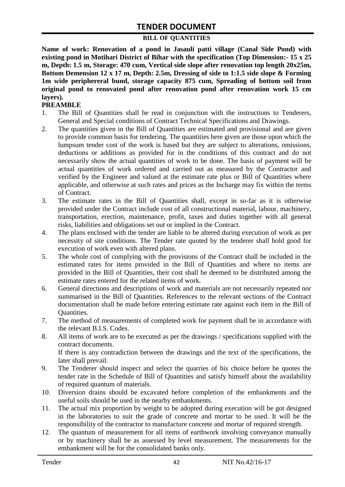#### **BILL OF QUANTITIES**

**Name of work: Renovation of a pond in Jasauli patti village (Canal Side Pond) with existing pond in Motihari District of Bihar with the specification (Top Dimension:- 15 x 25 m, Depth: 1.5 m, Storage: 470 cum, Vertical side slope after renovation top length 20x25m, Bottom Demension 12 x 17 m, Depth: 2.5m, Dressing of side to 1:1.5 side slope & Forming 1m wide periphereral bund, storage capacity 875 cum, Spreading of bottom soil from original pond to renovated pond after renovation pond after renovation work 15 cm layers).**

#### **PREAMBLE**

- 1. The Bill of Quantities shall be read in conjunction with the instructions to Tenderers, General and Special conditions of Contract Technical Specifications and Drawings.
- 2. The quantities given in the Bill of Quantities are estimated and provisional and are given to provide common basis for tendering. The quantities here given are those upon which the lumpsum tender cost of the work is based but they are subject to alterations, omissions, deductions or additions as provided for in the conditions of this contract and do not necessarily show the actual quantities of work to be done. The basis of payment will be actual quantities of work ordered and carried out as measured by the Contractor and verified by the Engineer and valued at the estimate rate plus or Bill of Quantities where applicable, and otherwise at such rates and prices as the Incharge may fix within the terms of Contract.
- 3. The estimate rates in the Bill of Quantities shall, except in so-far as it is otherwise provided under the Contract include cost of all constructional material, labour, machinery, transportation, erection, maintenance, profit, taxes and duties together with all general risks, liabilities and obligations set out or implied in the Contract.
- 4. The plans enclosed with the tender are liable to be altered during execution of work as per necessity of site conditions. The Tender rate quoted by the tenderer shall hold good for execution of work even with altered plans.
- 5. The whole cost of complying with the provisions of the Contract shall be included in the estimated rates for items provided in the Bill of Quantities and where no items are provided in the Bill of Quantities, their cost shall be deemed to be distributed among the estimate rates entered for the related items of work.
- 6. General directions and descriptions of work and materials are not necessarily repeated nor summarised in the Bill of Quantities. References to the relevant sections of the Contract documentation shall be made before entering estimate rate against each item in the Bill of Quantities.
- 7. The method of measurements of completed work for payment shall be in accordance with the relevant B.I.S. Codes.
- 8. All items of work are to be executed as per the drawings / specifications supplied with the contract documents. If there is any contradiction between the drawings and the text of the specifications, the later shall prevail.
- 9. The Tenderer should inspect and select the quarries of his choice before he quotes the tender rate in the Schedule of Bill of Quantities and satisfy himself about the availability of required quantum of materials.
- 10. Diversion drains should be excavated before completion of the embankments and the useful soils should be used in the nearby embankments.
- 11. The actual mix proportion by weight to be adopted during execution will be got designed in the laboratories to suit the grade of concrete and mortar to be used. It will be the responsibility of the contractor to manufacture concrete and mortar of required strength.
- 12. The quantum of measurement for all items of earthwork involving conveyance manually or by machinery shall be as assessed by level measurement. The measurements for the embankment will be for the consolidated banks only.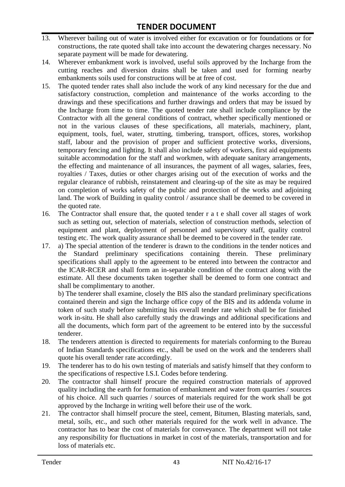- 13. Wherever bailing out of water is involved either for excavation or for foundations or for constructions, the rate quoted shall take into account the dewatering charges necessary. No separate payment will be made for dewatering.
- 14. Wherever embankment work is involved, useful soils approved by the Incharge from the cutting reaches and diversion drains shall be taken and used for forming nearby embankments soils used for constructions will be at free of cost.
- 15. The quoted tender rates shall also include the work of any kind necessary for the due and satisfactory construction, completion and maintenance of the works according to the drawings and these specifications and further drawings and orders that may be issued by the Incharge from time to time. The quoted tender rate shall include compliance by the Contractor with all the general conditions of contract, whether specifically mentioned or not in the various clauses of these specifications, all materials, machinery, plant, equipment, tools, fuel, water, strutting, timbering, transport, offices, stores, workshop staff, labour and the provision of proper and sufficient protective works, diversions, temporary fencing and lighting. It shall also include safety of workers, first aid equipments suitable accommodation for the staff and workmen, with adequate sanitary arrangements, the effecting and maintenance of all insurances, the payment of all wages, salaries, fees, royalties / Taxes, duties or other charges arising out of the execution of works and the regular clearance of rubbish, reinstatement and clearing-up of the site as may be required on completion of works safety of the public and protection of the works and adjoining land. The work of Building in quality control / assurance shall be deemed to be covered in the quoted rate.
- 16. The Contractor shall ensure that, the quoted tender r a t e shall cover all stages of work such as setting out, selection of materials, selection of construction methods, selection of equipment and plant, deployment of personnel and supervisory staff, quality control testing etc. The work quality assurance shall be deemed to be covered in the tender rate.
- 17. a) The special attention of the tenderer is drawn to the conditions in the tender notices and the Standard preliminary specifications containing therein. These preliminary specifications shall apply to the agreement to be entered into between the contractor and the ICAR-RCER and shall form an in-separable condition of the contract along with the estimate. All these documents taken together shall be deemed to form one contract and shall be complimentary to another.

b) The tenderer shall examine, closely the BIS also the standard preliminary specifications contained therein and sign the Incharge office copy of the BIS and its addenda volume in token of such study before submitting his overall tender rate which shall be for finished work in-situ. He shall also carefully study the drawings and additional specifications and all the documents, which form part of the agreement to be entered into by the successful tenderer.

- 18. The tenderers attention is directed to requirements for materials conforming to the Bureau of Indian Standards specifications etc., shall be used on the work and the tenderers shall quote his overall tender rate accordingly.
- 19. The tenderer has to do his own testing of materials and satisfy himself that they conform to the specifications of respective I.S.I. Codes before tendering.
- 20. The contractor shall himself procure the required construction materials of approved quality including the earth for formation of embankment and water from quarries / sources of his choice. All such quarries / sources of materials required for the work shall be got approved by the Incharge in writing well before their use of the work.
- 21. The contractor shall himself procure the steel, cement, Bitumen, Blasting materials, sand, metal, soils, etc., and such other materials required for the work well in advance. The contractor has to bear the cost of materials for conveyance. The department will not take any responsibility for fluctuations in market in cost of the materials, transportation and for loss of materials etc.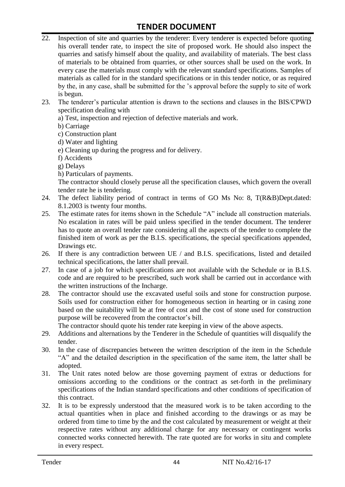- 22. Inspection of site and quarries by the tenderer: Every tenderer is expected before quoting his overall tender rate, to inspect the site of proposed work. He should also inspect the quarries and satisfy himself about the quality, and availability of materials. The best class of materials to be obtained from quarries, or other sources shall be used on the work. In every case the materials must comply with the relevant standard specifications. Samples of materials as called for in the standard specifications or in this tender notice, or as required by the, in any case, shall be submitted for the "s approval before the supply to site of work is begun.
- 23. The tenderer"s particular attention is drawn to the sections and clauses in the BIS/CPWD specification dealing with
	- a) Test, inspection and rejection of defective materials and work.
	- b) Carriage
	- c) Construction plant
	- d) Water and lighting
	- e) Cleaning up during the progress and for delivery.
	- f) Accidents
	- g) Delays
	- h) Particulars of payments.

The contractor should closely peruse all the specification clauses, which govern the overall tender rate he is tendering.

- 24. The defect liability period of contract in terms of GO Ms No: 8, T(R&B)Dept.dated: 8.1.2003 is twenty four months.
- 25. The estimate rates for items shown in the Schedule "A" include all construction materials. No escalation in rates will be paid unless specified in the tender document. The tenderer has to quote an overall tender rate considering all the aspects of the tender to complete the finished item of work as per the B.I.S. specifications, the special specifications appended, Drawings etc.
- 26. If there is any contradiction between UE / and B.I.S. specifications, listed and detailed technical specifications, the latter shall prevail.
- 27. In case of a job for which specifications are not available with the Schedule or in B.I.S. code and are required to be prescribed, such work shall be carried out in accordance with the written instructions of the Incharge.
- 28. The contractor should use the excavated useful soils and stone for construction purpose. Soils used for construction either for homogeneous section in hearting or in casing zone based on the suitability will be at free of cost and the cost of stone used for construction purpose will be recovered from the contractor's bill.

The contractor should quote his tender rate keeping in view of the above aspects.

- 29. Additions and alternations by the Tenderer in the Schedule of quantities will disqualify the tender.
- 30. In the case of discrepancies between the written description of the item in the Schedule "A" and the detailed description in the specification of the same item, the latter shall be adopted.
- 31. The Unit rates noted below are those governing payment of extras or deductions for omissions according to the conditions or the contract as set-forth in the preliminary specifications of the Indian standard specifications and other conditions of specification of this contract.
- 32. It is to be expressly understood that the measured work is to be taken according to the actual quantities when in place and finished according to the drawings or as may be ordered from time to time by the and the cost calculated by measurement or weight at their respective rates without any additional charge for any necessary or contingent works connected works connected herewith. The rate quoted are for works in situ and complete in every respect.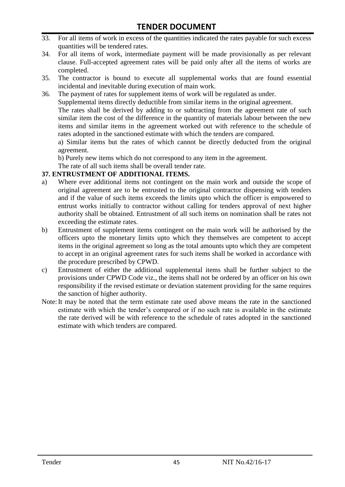- 33. For all items of work in excess of the quantities indicated the rates payable for such excess quantities will be tendered rates.
- 34. For all items of work, intermediate payment will be made provisionally as per relevant clause. Full-accepted agreement rates will be paid only after all the items of works are completed.
- 35. The contractor is bound to execute all supplemental works that are found essential incidental and inevitable during execution of main work.
- 36. The payment of rates for supplement items of work will be regulated as under. Supplemental items directly deductible from similar items in the original agreement. The rates shall be derived by adding to or subtracting from the agreement rate of such similar item the cost of the difference in the quantity of materials labour between the new items and similar items in the agreement worked out with reference to the schedule of rates adopted in the sanctioned estimate with which the tenders are compared.

a) Similar items but the rates of which cannot be directly deducted from the original agreement.

b) Purely new items which do not correspond to any item in the agreement.

The rate of all such items shall be overall tender rate.

#### **37. ENTRUSTMENT OF ADDITIONAL ITEMS.**

- a) Where ever additional items not contingent on the main work and outside the scope of original agreement are to be entrusted to the original contractor dispensing with tenders and if the value of such items exceeds the limits upto which the officer is empowered to entrust works initially to contractor without calling for tenders approval of next higher authority shall be obtained. Entrustment of all such items on nomination shall be rates not exceeding the estimate rates.
- b) Entrustment of supplement items contingent on the main work will be authorised by the officers upto the monetary limits upto which they themselves are competent to accept items in the original agreement so long as the total amounts upto which they are competent to accept in an original agreement rates for such items shall be worked in accordance with the procedure prescribed by CPWD.
- c) Entrustment of either the additional supplemental items shall be further subject to the provisions under CPWD Code viz., the items shall not be ordered by an officer on his own responsibility if the revised estimate or deviation statement providing for the same requires the sanction of higher authority.
- Note:It may be noted that the term estimate rate used above means the rate in the sanctioned estimate with which the tender"s compared or if no such rate is available in the estimate the rate derived will be with reference to the schedule of rates adopted in the sanctioned estimate with which tenders are compared.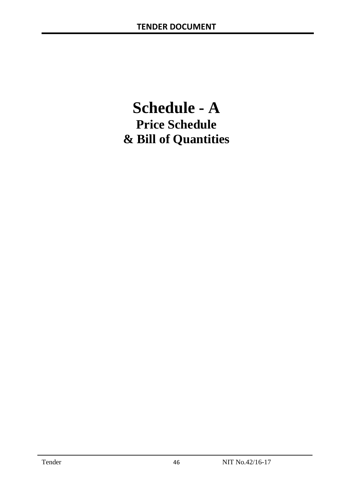# **Schedule - A Price Schedule & Bill of Quantities**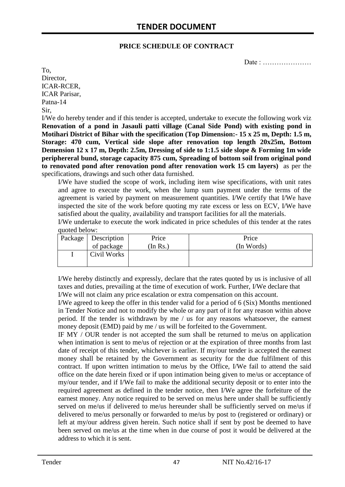#### **PRICE SCHEDULE OF CONTRACT**

Date : …………………

To, Director, ICAR-RCER, ICAR Parisar, Patna-14 Sir,

I/We do hereby tender and if this tender is accepted, undertake to execute the following work viz **Renovation of a pond in Jasauli patti village (Canal Side Pond) with existing pond in Motihari District of Bihar with the specification (Top Dimension:- 15 x 25 m, Depth: 1.5 m, Storage: 470 cum, Vertical side slope after renovation top length 20x25m, Bottom Demension 12 x 17 m, Depth: 2.5m, Dressing of side to 1:1.5 side slope & Forming 1m wide periphereral bund, storage capacity 875 cum, Spreading of bottom soil from original pond to renovated pond after renovation pond after renovation work 15 cm layers)** as per the specifications, drawings and such other data furnished.

I/We have studied the scope of work, including item wise specifications, with unit rates and agree to execute the work, when the lump sum payment under the terms of the agreement is varied by payment on measurement quantities. I/We certify that I/We have inspected the site of the work before quoting my rate excess or less on ECV, I/We have satisfied about the quality, availability and transport facilities for all the materials.

I/We undertake to execute the work indicated in price schedules of this tender at the rates quoted below:

| Package   Description | Price    | Price      |
|-----------------------|----------|------------|
| of package            | (In Rs.) | (In Words) |
| Civil Works           |          |            |
|                       |          |            |

I/We hereby distinctly and expressly, declare that the rates quoted by us is inclusive of all taxes and duties, prevailing at the time of execution of work. Further, I/We declare that I/We will not claim any price escalation or extra compensation on this account.

I/We agreed to keep the offer in this tender valid for a period of 6 (Six) Months mentioned in Tender Notice and not to modify the whole or any part of it for any reason within above period. If the tender is withdrawn by me / us for any reasons whatsoever, the earnest money deposit (EMD) paid by me / us will be forfeited to the Government.

IF MY / OUR tender is not accepted the sum shall be returned to me/us on application when intimation is sent to me/us of rejection or at the expiration of three months from last date of receipt of this tender, whichever is earlier. If my/our tender is accepted the earnest money shall be retained by the Government as security for the due fulfilment of this contract. If upon written intimation to me/us by the Office, I/We fail to attend the said office on the date herein fixed or if upon intimation being given to me/us or acceptance of my/our tender, and if I/We fail to make the additional security deposit or to enter into the required agreement as defined in the tender notice, then I/We agree the forfeiture of the earnest money. Any notice required to be served on me/us here under shall be sufficiently served on me/us if delivered to me/us hereunder shall be sufficiently served on me/us if delivered to me/us personally or forwarded to me/us by post to (registered or ordinary) or left at my/our address given herein. Such notice shall if sent by post be deemed to have been served on me/us at the time when in due course of post it would be delivered at the address to which it is sent.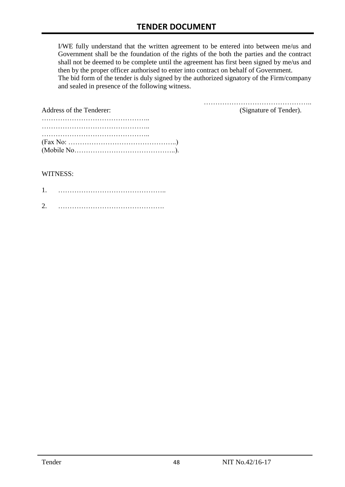I/WE fully understand that the written agreement to be entered into between me/us and Government shall be the foundation of the rights of the both the parties and the contract shall not be deemed to be complete until the agreement has first been signed by me/us and then by the proper officer authorised to enter into contract on behalf of Government. The bid form of the tender is duly signed by the authorized signatory of the Firm/company and sealed in presence of the following witness.

| Address of the Tenderer:                                                                  | (Signature of Tender). |
|-------------------------------------------------------------------------------------------|------------------------|
|                                                                                           |                        |
|                                                                                           |                        |
|                                                                                           |                        |
| $(Fax No: \dots \dots \dots \dots \dots \dots \dots \dots \dots \dots \dots \dots \dots)$ |                        |
|                                                                                           |                        |

#### WITNESS:

| ⌒ |  |
|---|--|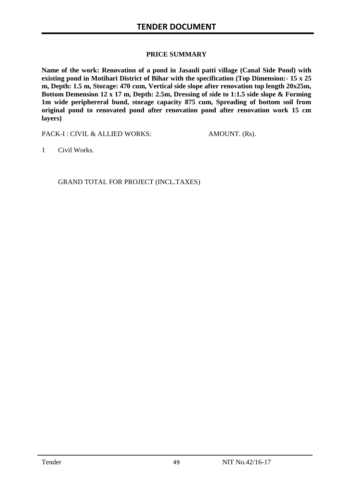#### **PRICE SUMMARY**

**Name of the work: Renovation of a pond in Jasauli patti village (Canal Side Pond) with existing pond in Motihari District of Bihar with the specification (Top Dimension:- 15 x 25 m, Depth: 1.5 m, Storage: 470 cum, Vertical side slope after renovation top length 20x25m, Bottom Demension 12 x 17 m, Depth: 2.5m, Dressing of side to 1:1.5 side slope & Forming 1m wide periphereral bund, storage capacity 875 cum, Spreading of bottom soil from original pond to renovated pond after renovation pond after renovation work 15 cm layers)**

PACK-I : CIVIL & ALLIED WORKS: AMOUNT. (Rs).

1 Civil Works.

GRAND TOTAL FOR PROJECT (INCL.TAXES)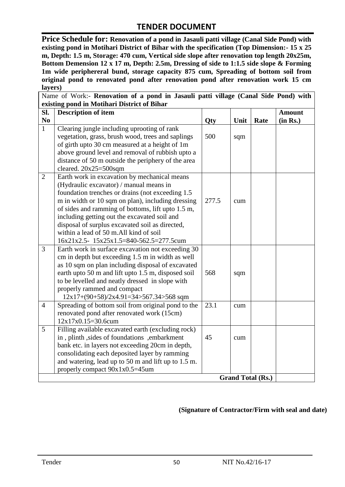**Price Schedule for: Renovation of a pond in Jasauli patti village (Canal Side Pond) with existing pond in Motihari District of Bihar with the specification (Top Dimension:- 15 x 25 m, Depth: 1.5 m, Storage: 470 cum, Vertical side slope after renovation top length 20x25m, Bottom Demension 12 x 17 m, Depth: 2.5m, Dressing of side to 1:1.5 side slope & Forming 1m wide periphereral bund, storage capacity 875 cum, Spreading of bottom soil from original pond to renovated pond after renovation pond after renovation work 15 cm layers)**

|                | Name of Work:- Renovation of a pond in Jasauli patti village (Canal Side Pond) with               |       |      |                          |               |
|----------------|---------------------------------------------------------------------------------------------------|-------|------|--------------------------|---------------|
|                | existing pond in Motihari District of Bihar                                                       |       |      |                          |               |
| SI.            | <b>Description of item</b>                                                                        |       |      |                          | <b>Amount</b> |
| N <sub>0</sub> |                                                                                                   | Qty   | Unit | Rate                     | (in Rs.)      |
| $\mathbf{1}$   | Clearing jungle including uprooting of rank                                                       |       |      |                          |               |
|                | vegetation, grass, brush wood, trees and saplings                                                 | 500   | sqm  |                          |               |
|                | of girth upto 30 cm measured at a height of 1m                                                    |       |      |                          |               |
|                | above ground level and removal of rubbish upto a                                                  |       |      |                          |               |
|                | distance of 50 m outside the periphery of the area                                                |       |      |                          |               |
|                | cleared. $20x25=500$ sqm                                                                          |       |      |                          |               |
| $\overline{2}$ | Earth work in excavation by mechanical means                                                      |       |      |                          |               |
|                | (Hydraulic excavator) / manual means in                                                           |       |      |                          |               |
|                | foundation trenches or drains (not exceeding 1.5)                                                 |       |      |                          |               |
|                | m in width or 10 sqm on plan), including dressing                                                 | 277.5 | cum  |                          |               |
|                | of sides and ramming of bottoms, lift upto 1.5 m,                                                 |       |      |                          |               |
|                | including getting out the excavated soil and                                                      |       |      |                          |               |
|                | disposal of surplus excavated soil as directed,                                                   |       |      |                          |               |
|                | within a lead of 50 m.All kind of soil                                                            |       |      |                          |               |
|                | 16x21x2.5- 15x25x1.5=840-562.5=277.5cum                                                           |       |      |                          |               |
| $\overline{3}$ | Earth work in surface excavation not exceeding 30                                                 |       |      |                          |               |
|                | cm in depth but exceeding 1.5 m in width as well                                                  |       |      |                          |               |
|                | as 10 sqm on plan including disposal of excavated                                                 |       |      |                          |               |
|                | earth upto 50 m and lift upto 1.5 m, disposed soil                                                | 568   | sqm  |                          |               |
|                | to be levelled and neatly dressed in slope with                                                   |       |      |                          |               |
|                | properly rammed and compact                                                                       |       |      |                          |               |
|                | $12x17+(90+58)/2x4.91=34>567.34>568$ sqm                                                          |       |      |                          |               |
| $\overline{4}$ | Spreading of bottom soil from original pond to the                                                | 23.1  | cum  |                          |               |
|                | renovated pond after renovated work (15cm)<br>$12x17x0.15=30.6cum$                                |       |      |                          |               |
| 5              |                                                                                                   |       |      |                          |               |
|                | Filling available excavated earth (excluding rock)                                                | 45    |      |                          |               |
|                | in, plinth, sides of foundations, embarkment                                                      |       | cum  |                          |               |
|                | bank etc. in layers not exceeding 20cm in depth,<br>consolidating each deposited layer by ramming |       |      |                          |               |
|                | and watering, lead up to 50 m and lift up to 1.5 m.                                               |       |      |                          |               |
|                | properly compact 90x1x0.5=45um                                                                    |       |      |                          |               |
|                |                                                                                                   |       |      | <b>Grand Total (Rs.)</b> |               |
|                |                                                                                                   |       |      |                          |               |

#### **(Signature of Contractor/Firm with seal and date)**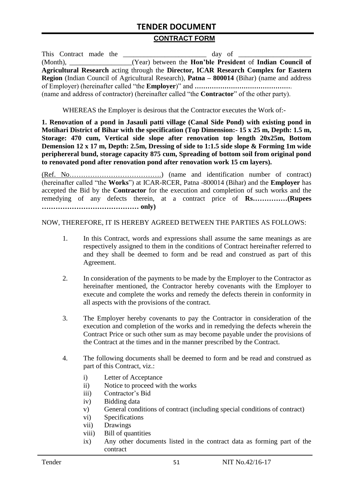#### **CONTRACT FORM**

| This Contract made the |                                                                                                          |
|------------------------|----------------------------------------------------------------------------------------------------------|
|                        | (Month), ____________________(Year) between the <b>Hon'ble President</b> of <b>Indian Council of</b>     |
|                        | Agricultural Research acting through the Director, ICAR Research Complex for Eastern                     |
|                        | <b>Region</b> (Indian Council of Agricultural Research), <b>Patna – 800014</b> (Bihar) (name and address |
|                        |                                                                                                          |
|                        | (name and address of contractor) (hereinafter called "the <b>Contractor</b> " of the other party).       |

WHEREAS the Employer is desirous that the Contractor executes the Work of:-

**1. Renovation of a pond in Jasauli patti village (Canal Side Pond) with existing pond in Motihari District of Bihar with the specification (Top Dimension:- 15 x 25 m, Depth: 1.5 m, Storage: 470 cum, Vertical side slope after renovation top length 20x25m, Bottom Demension 12 x 17 m, Depth: 2.5m, Dressing of side to 1:1.5 side slope & Forming 1m wide periphereral bund, storage capacity 875 cum, Spreading of bottom soil from original pond to renovated pond after renovation pond after renovation work 15 cm layers).**

(Ref. No………………………………….) (name and identification number of contract) (hereinafter called "the **Works**") at ICAR-RCER, Patna -800014 (Bihar) and the **Employer** has accepted the Bid by the **Contractor** for the execution and completion of such works and the remedying of any defects therein, at a contract price of **Rs……………(Rupees …………………………………… only)**

NOW, THEREFORE, IT IS HEREBY AGREED BETWEEN THE PARTIES AS FOLLOWS:

- 1. In this Contract, words and expressions shall assume the same meanings as are respectively assigned to them in the conditions of Contract hereinafter referred to and they shall be deemed to form and be read and construed as part of this Agreement.
- 2. In consideration of the payments to be made by the Employer to the Contractor as hereinafter mentioned, the Contractor hereby covenants with the Employer to execute and complete the works and remedy the defects therein in conformity in all aspects with the provisions of the contract.
- 3. The Employer hereby covenants to pay the Contractor in consideration of the execution and completion of the works and in remedying the defects wherein the Contract Price or such other sum as may become payable under the provisions of the Contract at the times and in the manner prescribed by the Contract.
- 4. The following documents shall be deemed to form and be read and construed as part of this Contract, viz.:
	- i) Letter of Acceptance
	- ii) Notice to proceed with the works
	- iii) Contractor's Bid
	- iv) Bidding data
	- v) General conditions of contract (including special conditions of contract)
	- vi) Specifications
	- vii) Drawings
	- viii) Bill of quantities
	- ix) Any other documents listed in the contract data as forming part of the contract